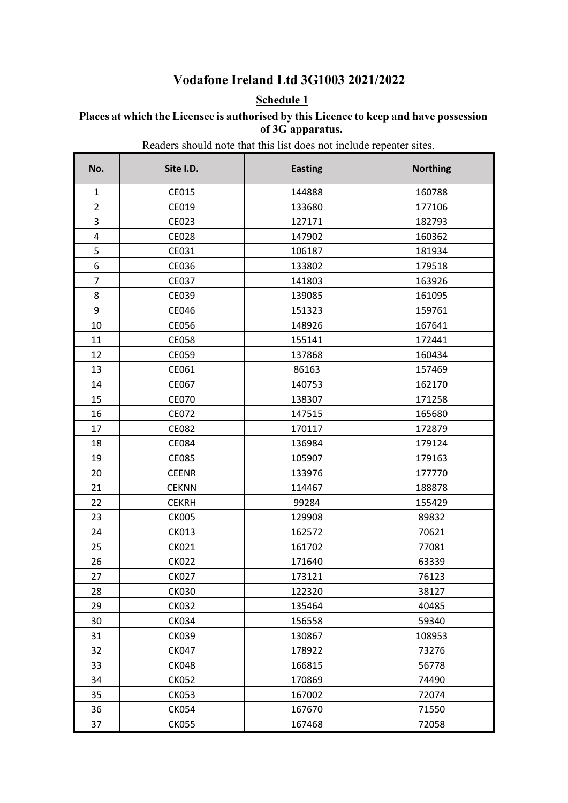### **Vodafone Ireland Ltd 3G1003 2021/2022**

### **Schedule 1**

#### **Places at which the Licensee is authorised by this Licence to keep and have possession of 3G apparatus.**

Readers should note that this list does not include repeater sites.

| No.            | Site I.D.    | <b>Easting</b> | <b>Northing</b> |
|----------------|--------------|----------------|-----------------|
| $\mathbf{1}$   | CE015        | 144888         | 160788          |
| $\overline{2}$ | CE019        | 133680         | 177106          |
| 3              | CE023        | 127171         | 182793          |
| 4              | <b>CE028</b> | 147902         | 160362          |
| 5              | CE031        | 106187         | 181934          |
| 6              | CE036        | 133802         | 179518          |
| $\overline{7}$ | <b>CE037</b> | 141803         | 163926          |
| 8              | CE039        | 139085         | 161095          |
| 9              | CE046        | 151323         | 159761          |
| 10             | <b>CE056</b> | 148926         | 167641          |
| 11             | <b>CE058</b> | 155141         | 172441          |
| 12             | CE059        | 137868         | 160434          |
| 13             | CE061        | 86163          | 157469          |
| 14             | CE067        | 140753         | 162170          |
| 15             | <b>CE070</b> | 138307         | 171258          |
| 16             | CE072        | 147515         | 165680          |
| 17             | CE082        | 170117         | 172879          |
| 18             | CE084        | 136984         | 179124          |
| 19             | <b>CE085</b> | 105907         | 179163          |
| 20             | <b>CEENR</b> | 133976         | 177770          |
| 21             | <b>CEKNN</b> | 114467         | 188878          |
| 22             | <b>CEKRH</b> | 99284          | 155429          |
| 23             | <b>CK005</b> | 129908         | 89832           |
| 24             | <b>CK013</b> | 162572         | 70621           |
| 25             | <b>CK021</b> | 161702         | 77081           |
| 26             | <b>CK022</b> | 171640         | 63339           |
| 27             | <b>CK027</b> | 173121         | 76123           |
| 28             | <b>CK030</b> | 122320         | 38127           |
| 29             | <b>CK032</b> | 135464         | 40485           |
| 30             | <b>CK034</b> | 156558         | 59340           |
| 31             | <b>CK039</b> | 130867         | 108953          |
| 32             | <b>CK047</b> | 178922         | 73276           |
| 33             | <b>CK048</b> | 166815         | 56778           |
| 34             | <b>CK052</b> | 170869         | 74490           |
| 35             | <b>CK053</b> | 167002         | 72074           |
| 36             | <b>CK054</b> | 167670         | 71550           |
| 37             | <b>CK055</b> | 167468         | 72058           |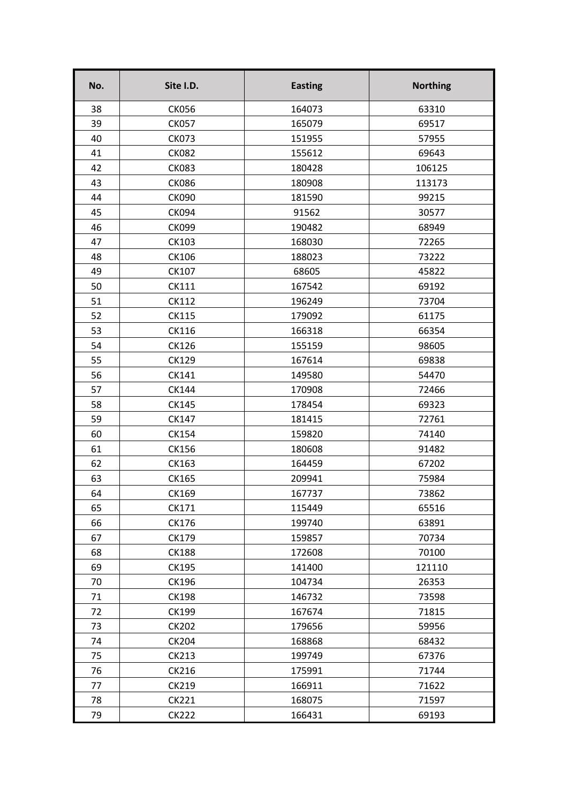| No. | Site I.D.    | <b>Easting</b> | <b>Northing</b> |
|-----|--------------|----------------|-----------------|
| 38  | <b>CK056</b> | 164073         | 63310           |
| 39  | <b>CK057</b> | 165079         | 69517           |
| 40  | <b>CK073</b> | 151955         | 57955           |
| 41  | <b>CK082</b> | 155612         | 69643           |
| 42  | <b>CK083</b> | 180428         | 106125          |
| 43  | <b>CK086</b> | 180908         | 113173          |
| 44  | <b>CK090</b> | 181590         | 99215           |
| 45  | <b>CK094</b> | 91562          | 30577           |
| 46  | <b>CK099</b> | 190482         | 68949           |
| 47  | CK103        | 168030         | 72265           |
| 48  | CK106        | 188023         | 73222           |
| 49  | CK107        | 68605          | 45822           |
| 50  | <b>CK111</b> | 167542         | 69192           |
| 51  | <b>CK112</b> | 196249         | 73704           |
| 52  | <b>CK115</b> | 179092         | 61175           |
| 53  | CK116        | 166318         | 66354           |
| 54  | <b>CK126</b> | 155159         | 98605           |
| 55  | <b>CK129</b> | 167614         | 69838           |
| 56  | CK141        | 149580         | 54470           |
| 57  | <b>CK144</b> | 170908         | 72466           |
| 58  | <b>CK145</b> | 178454         | 69323           |
| 59  | CK147        | 181415         | 72761           |
| 60  | <b>CK154</b> | 159820         | 74140           |
| 61  | <b>CK156</b> | 180608         | 91482           |
| 62  | CK163        | 164459         | 67202           |
| 63  | CK165        | 209941         | 75984           |
| 64  | <b>CK169</b> | 167737         | 73862           |
| 65  | CK171        | 115449         | 65516           |
| 66  | CK176        | 199740         | 63891           |
| 67  | CK179        | 159857         | 70734           |
| 68  | <b>CK188</b> | 172608         | 70100           |
| 69  | CK195        | 141400         | 121110          |
| 70  | CK196        | 104734         | 26353           |
| 71  | <b>CK198</b> | 146732         | 73598           |
| 72  | <b>CK199</b> | 167674         | 71815           |
| 73  | <b>CK202</b> | 179656         | 59956           |
| 74  | <b>CK204</b> | 168868         | 68432           |
| 75  | <b>CK213</b> | 199749         | 67376           |
| 76  | CK216        | 175991         | 71744           |
| 77  | CK219        | 166911         | 71622           |
| 78  | <b>CK221</b> | 168075         | 71597           |
| 79  | <b>CK222</b> | 166431         | 69193           |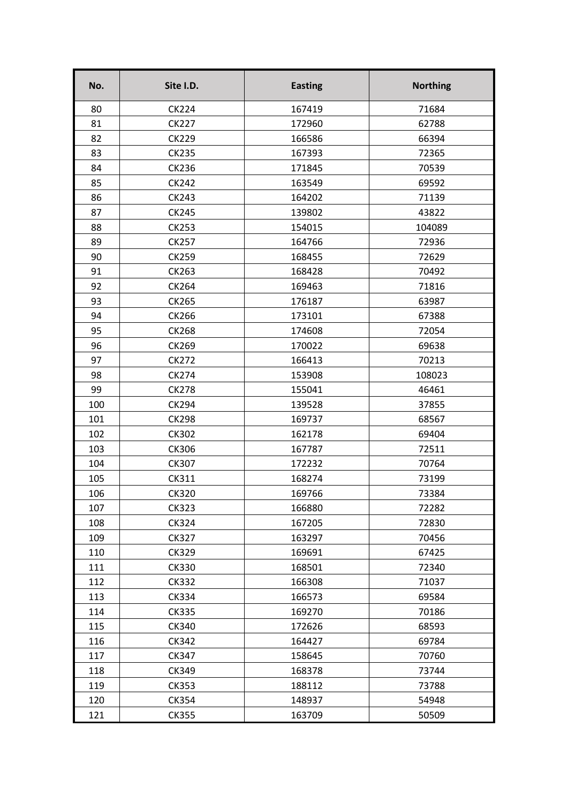| No. | Site I.D.    | <b>Easting</b> | <b>Northing</b> |
|-----|--------------|----------------|-----------------|
| 80  | <b>CK224</b> | 167419         | 71684           |
| 81  | <b>CK227</b> | 172960         | 62788           |
| 82  | <b>CK229</b> | 166586         | 66394           |
| 83  | <b>CK235</b> | 167393         | 72365           |
| 84  | <b>CK236</b> | 171845         | 70539           |
| 85  | <b>CK242</b> | 163549         | 69592           |
| 86  | <b>CK243</b> | 164202         | 71139           |
| 87  | <b>CK245</b> | 139802         | 43822           |
| 88  | <b>CK253</b> | 154015         | 104089          |
| 89  | <b>CK257</b> | 164766         | 72936           |
| 90  | <b>CK259</b> | 168455         | 72629           |
| 91  | CK263        | 168428         | 70492           |
| 92  | <b>CK264</b> | 169463         | 71816           |
| 93  | <b>CK265</b> | 176187         | 63987           |
| 94  | <b>CK266</b> | 173101         | 67388           |
| 95  | <b>CK268</b> | 174608         | 72054           |
| 96  | <b>CK269</b> | 170022         | 69638           |
| 97  | <b>CK272</b> | 166413         | 70213           |
| 98  | <b>CK274</b> | 153908         | 108023          |
| 99  | <b>CK278</b> | 155041         | 46461           |
| 100 | <b>CK294</b> | 139528         | 37855           |
| 101 | <b>CK298</b> | 169737         | 68567           |
| 102 | <b>CK302</b> | 162178         | 69404           |
| 103 | <b>CK306</b> | 167787         | 72511           |
| 104 | <b>CK307</b> | 172232         | 70764           |
| 105 | CK311        | 168274         | 73199           |
| 106 | <b>CK320</b> | 169766         | 73384           |
| 107 | <b>CK323</b> | 166880         | 72282           |
| 108 | <b>CK324</b> | 167205         | 72830           |
| 109 | <b>CK327</b> | 163297         | 70456           |
| 110 | <b>CK329</b> | 169691         | 67425           |
| 111 | <b>CK330</b> | 168501         | 72340           |
| 112 | <b>CK332</b> | 166308         | 71037           |
| 113 | <b>CK334</b> | 166573         | 69584           |
| 114 | <b>CK335</b> | 169270         | 70186           |
| 115 | <b>CK340</b> | 172626         | 68593           |
| 116 | CK342        | 164427         | 69784           |
| 117 | <b>CK347</b> | 158645         | 70760           |
| 118 | CK349        | 168378         | 73744           |
| 119 | <b>CK353</b> | 188112         | 73788           |
| 120 | CK354        | 148937         | 54948           |
| 121 | <b>CK355</b> | 163709         | 50509           |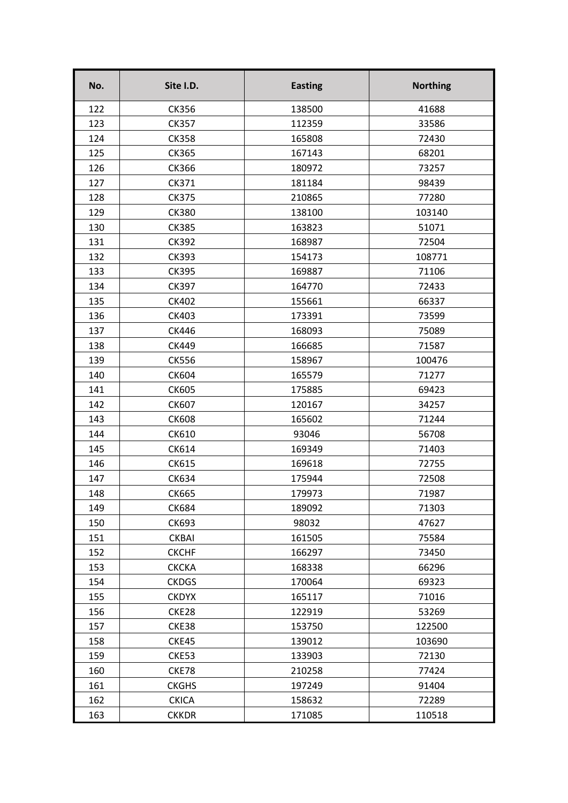| No. | Site I.D.    | <b>Easting</b> | <b>Northing</b> |
|-----|--------------|----------------|-----------------|
| 122 | <b>CK356</b> | 138500         | 41688           |
| 123 | <b>CK357</b> | 112359         | 33586           |
| 124 | <b>CK358</b> | 165808         | 72430           |
| 125 | <b>CK365</b> | 167143         | 68201           |
| 126 | CK366        | 180972         | 73257           |
| 127 | CK371        | 181184         | 98439           |
| 128 | <b>CK375</b> | 210865         | 77280           |
| 129 | <b>CK380</b> | 138100         | 103140          |
| 130 | <b>CK385</b> | 163823         | 51071           |
| 131 | <b>CK392</b> | 168987         | 72504           |
| 132 | <b>CK393</b> | 154173         | 108771          |
| 133 | <b>CK395</b> | 169887         | 71106           |
| 134 | <b>CK397</b> | 164770         | 72433           |
| 135 | <b>CK402</b> | 155661         | 66337           |
| 136 | <b>CK403</b> | 173391         | 73599           |
| 137 | CK446        | 168093         | 75089           |
| 138 | <b>CK449</b> | 166685         | 71587           |
| 139 | <b>CK556</b> | 158967         | 100476          |
| 140 | <b>CK604</b> | 165579         | 71277           |
| 141 | <b>CK605</b> | 175885         | 69423           |
| 142 | <b>CK607</b> | 120167         | 34257           |
| 143 | <b>CK608</b> | 165602         | 71244           |
| 144 | CK610        | 93046          | 56708           |
| 145 | CK614        | 169349         | 71403           |
| 146 | CK615        | 169618         | 72755           |
| 147 | <b>CK634</b> | 175944         | 72508           |
| 148 | <b>CK665</b> | 179973         | 71987           |
| 149 | <b>CK684</b> | 189092         | 71303           |
| 150 | <b>CK693</b> | 98032          | 47627           |
| 151 | <b>CKBAI</b> | 161505         | 75584           |
| 152 | <b>CKCHF</b> | 166297         | 73450           |
| 153 | <b>CKCKA</b> | 168338         | 66296           |
| 154 | <b>CKDGS</b> | 170064         | 69323           |
| 155 | <b>CKDYX</b> | 165117         | 71016           |
| 156 | CKE28        | 122919         | 53269           |
| 157 | CKE38        | 153750         | 122500          |
| 158 | CKE45        | 139012         | 103690          |
| 159 | CKE53        | 133903         | 72130           |
| 160 | CKE78        | 210258         | 77424           |
| 161 | <b>CKGHS</b> | 197249         | 91404           |
| 162 | <b>CKICA</b> | 158632         | 72289           |
| 163 | <b>CKKDR</b> | 171085         | 110518          |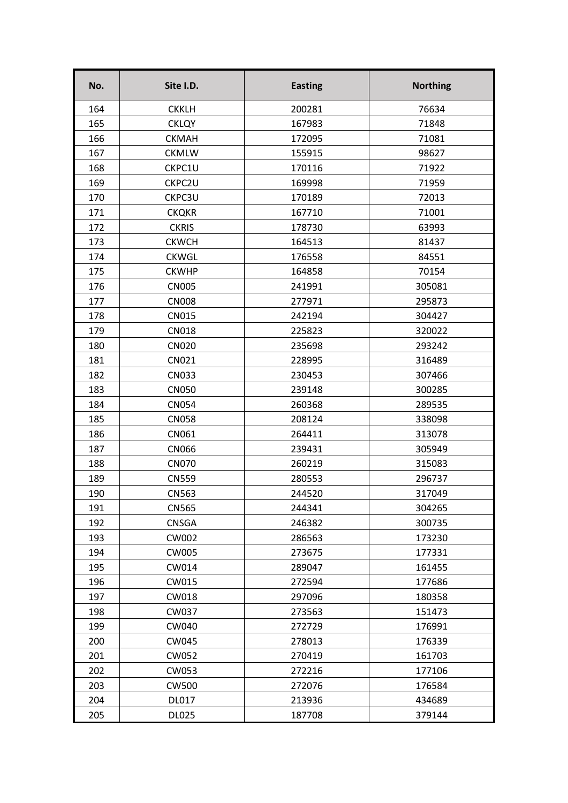| No. | Site I.D.    | <b>Easting</b> | <b>Northing</b> |
|-----|--------------|----------------|-----------------|
| 164 | <b>CKKLH</b> | 200281         | 76634           |
| 165 | <b>CKLQY</b> | 167983         | 71848           |
| 166 | <b>CKMAH</b> | 172095         | 71081           |
| 167 | <b>CKMLW</b> | 155915         | 98627           |
| 168 | CKPC1U       | 170116         | 71922           |
| 169 | CKPC2U       | 169998         | 71959           |
| 170 | CKPC3U       | 170189         | 72013           |
| 171 | <b>CKQKR</b> | 167710         | 71001           |
| 172 | <b>CKRIS</b> | 178730         | 63993           |
| 173 | <b>CKWCH</b> | 164513         | 81437           |
| 174 | <b>CKWGL</b> | 176558         | 84551           |
| 175 | <b>CKWHP</b> | 164858         | 70154           |
| 176 | <b>CN005</b> | 241991         | 305081          |
| 177 | <b>CN008</b> | 277971         | 295873          |
| 178 | <b>CN015</b> | 242194         | 304427          |
| 179 | <b>CN018</b> | 225823         | 320022          |
| 180 | <b>CN020</b> | 235698         | 293242          |
| 181 | CN021        | 228995         | 316489          |
| 182 | <b>CN033</b> | 230453         | 307466          |
| 183 | <b>CN050</b> | 239148         | 300285          |
| 184 | <b>CN054</b> | 260368         | 289535          |
| 185 | <b>CN058</b> | 208124         | 338098          |
| 186 | CN061        | 264411         | 313078          |
| 187 | <b>CN066</b> | 239431         | 305949          |
| 188 | <b>CN070</b> | 260219         | 315083          |
| 189 | <b>CN559</b> | 280553         | 296737          |
| 190 | <b>CN563</b> | 244520         | 317049          |
| 191 | <b>CN565</b> | 244341         | 304265          |
| 192 | <b>CNSGA</b> | 246382         | 300735          |
| 193 | CW002        | 286563         | 173230          |
| 194 | CW005        | 273675         | 177331          |
| 195 | CW014        | 289047         | 161455          |
| 196 | CW015        | 272594         | 177686          |
| 197 | CW018        | 297096         | 180358          |
| 198 | CW037        | 273563         | 151473          |
| 199 | CW040        | 272729         | 176991          |
| 200 | CW045        | 278013         | 176339          |
| 201 | CW052        | 270419         | 161703          |
| 202 | CW053        | 272216         | 177106          |
| 203 | <b>CW500</b> | 272076         | 176584          |
| 204 | <b>DL017</b> | 213936         | 434689          |
| 205 | <b>DL025</b> | 187708         | 379144          |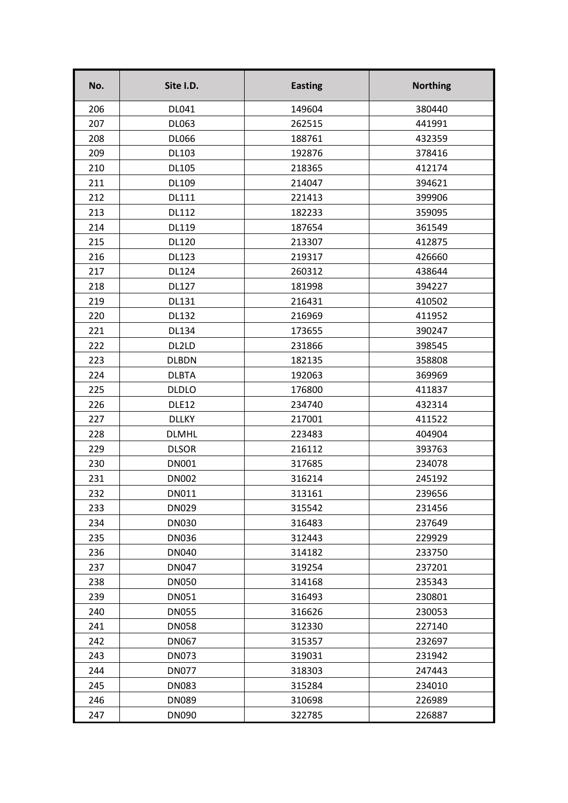| No. | Site I.D.    | <b>Easting</b> | <b>Northing</b> |
|-----|--------------|----------------|-----------------|
| 206 | DL041        | 149604         | 380440          |
| 207 | DL063        | 262515         | 441991          |
| 208 | <b>DL066</b> | 188761         | 432359          |
| 209 | DL103        | 192876         | 378416          |
| 210 | <b>DL105</b> | 218365         | 412174          |
| 211 | DL109        | 214047         | 394621          |
| 212 | <b>DL111</b> | 221413         | 399906          |
| 213 | <b>DL112</b> | 182233         | 359095          |
| 214 | DL119        | 187654         | 361549          |
| 215 | <b>DL120</b> | 213307         | 412875          |
| 216 | <b>DL123</b> | 219317         | 426660          |
| 217 | <b>DL124</b> | 260312         | 438644          |
| 218 | <b>DL127</b> | 181998         | 394227          |
| 219 | <b>DL131</b> | 216431         | 410502          |
| 220 | <b>DL132</b> | 216969         | 411952          |
| 221 | <b>DL134</b> | 173655         | 390247          |
| 222 | DL2LD        | 231866         | 398545          |
| 223 | <b>DLBDN</b> | 182135         | 358808          |
| 224 | <b>DLBTA</b> | 192063         | 369969          |
| 225 | <b>DLDLO</b> | 176800         | 411837          |
| 226 | DLE12        | 234740         | 432314          |
| 227 | <b>DLLKY</b> | 217001         | 411522          |
| 228 | <b>DLMHL</b> | 223483         | 404904          |
| 229 | <b>DLSOR</b> | 216112         | 393763          |
| 230 | <b>DN001</b> | 317685         | 234078          |
| 231 | <b>DN002</b> | 316214         | 245192          |
| 232 | DN011        | 313161         | 239656          |
| 233 | <b>DN029</b> | 315542         | 231456          |
| 234 | <b>DN030</b> | 316483         | 237649          |
| 235 | <b>DN036</b> | 312443         | 229929          |
| 236 | <b>DN040</b> | 314182         | 233750          |
| 237 | <b>DN047</b> | 319254         | 237201          |
| 238 | <b>DN050</b> | 314168         | 235343          |
| 239 | <b>DN051</b> | 316493         | 230801          |
| 240 | <b>DN055</b> | 316626         | 230053          |
| 241 | <b>DN058</b> | 312330         | 227140          |
| 242 | <b>DN067</b> | 315357         | 232697          |
| 243 | <b>DN073</b> | 319031         | 231942          |
| 244 | <b>DN077</b> | 318303         | 247443          |
| 245 | <b>DN083</b> | 315284         | 234010          |
| 246 | <b>DN089</b> | 310698         | 226989          |
| 247 | <b>DN090</b> | 322785         | 226887          |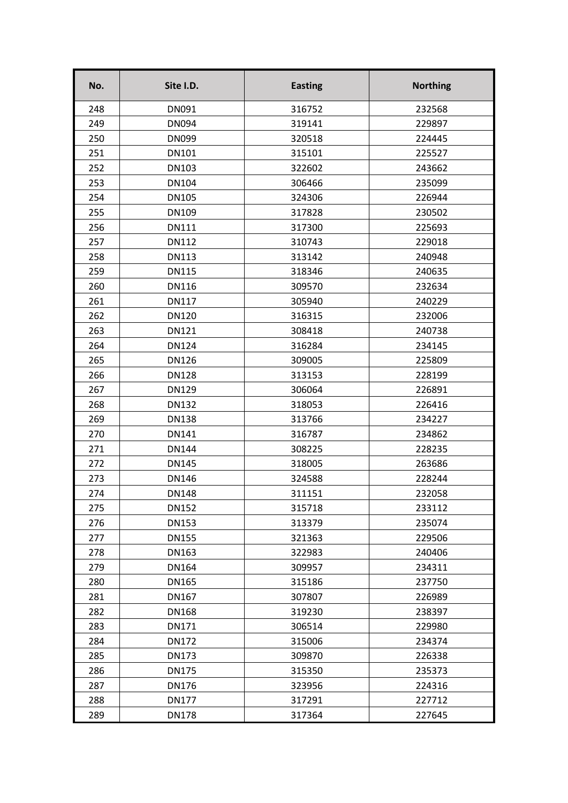| No. | Site I.D.    | <b>Easting</b> | <b>Northing</b> |
|-----|--------------|----------------|-----------------|
| 248 | DN091        | 316752         | 232568          |
| 249 | <b>DN094</b> | 319141         | 229897          |
| 250 | <b>DN099</b> | 320518         | 224445          |
| 251 | <b>DN101</b> | 315101         | 225527          |
| 252 | <b>DN103</b> | 322602         | 243662          |
| 253 | <b>DN104</b> | 306466         | 235099          |
| 254 | <b>DN105</b> | 324306         | 226944          |
| 255 | <b>DN109</b> | 317828         | 230502          |
| 256 | <b>DN111</b> | 317300         | 225693          |
| 257 | <b>DN112</b> | 310743         | 229018          |
| 258 | <b>DN113</b> | 313142         | 240948          |
| 259 | <b>DN115</b> | 318346         | 240635          |
| 260 | <b>DN116</b> | 309570         | 232634          |
| 261 | <b>DN117</b> | 305940         | 240229          |
| 262 | <b>DN120</b> | 316315         | 232006          |
| 263 | <b>DN121</b> | 308418         | 240738          |
| 264 | <b>DN124</b> | 316284         | 234145          |
| 265 | <b>DN126</b> | 309005         | 225809          |
| 266 | <b>DN128</b> | 313153         | 228199          |
| 267 | <b>DN129</b> | 306064         | 226891          |
| 268 | <b>DN132</b> | 318053         | 226416          |
| 269 | <b>DN138</b> | 313766         | 234227          |
| 270 | <b>DN141</b> | 316787         | 234862          |
| 271 | <b>DN144</b> | 308225         | 228235          |
| 272 | <b>DN145</b> | 318005         | 263686          |
| 273 | <b>DN146</b> | 324588         | 228244          |
| 274 | <b>DN148</b> | 311151         | 232058          |
| 275 | <b>DN152</b> | 315718         | 233112          |
| 276 | <b>DN153</b> | 313379         | 235074          |
| 277 | <b>DN155</b> | 321363         | 229506          |
| 278 | DN163        | 322983         | 240406          |
| 279 | <b>DN164</b> | 309957         | 234311          |
| 280 | <b>DN165</b> | 315186         | 237750          |
| 281 | DN167        | 307807         | 226989          |
| 282 | <b>DN168</b> | 319230         | 238397          |
| 283 | DN171        | 306514         | 229980          |
| 284 | <b>DN172</b> | 315006         | 234374          |
| 285 | <b>DN173</b> | 309870         | 226338          |
| 286 | <b>DN175</b> | 315350         | 235373          |
| 287 | <b>DN176</b> | 323956         | 224316          |
| 288 | <b>DN177</b> | 317291         | 227712          |
| 289 | <b>DN178</b> | 317364         | 227645          |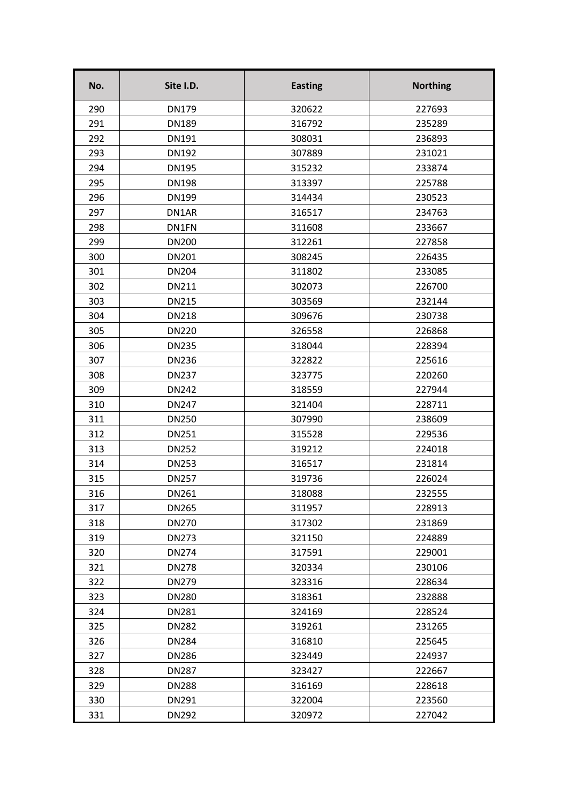| No. | Site I.D.    | <b>Easting</b> | <b>Northing</b> |
|-----|--------------|----------------|-----------------|
| 290 | <b>DN179</b> | 320622         | 227693          |
| 291 | <b>DN189</b> | 316792         | 235289          |
| 292 | <b>DN191</b> | 308031         | 236893          |
| 293 | <b>DN192</b> | 307889         | 231021          |
| 294 | <b>DN195</b> | 315232         | 233874          |
| 295 | <b>DN198</b> | 313397         | 225788          |
| 296 | <b>DN199</b> | 314434         | 230523          |
| 297 | DN1AR        | 316517         | 234763          |
| 298 | DN1FN        | 311608         | 233667          |
| 299 | <b>DN200</b> | 312261         | 227858          |
| 300 | <b>DN201</b> | 308245         | 226435          |
| 301 | <b>DN204</b> | 311802         | 233085          |
| 302 | <b>DN211</b> | 302073         | 226700          |
| 303 | <b>DN215</b> | 303569         | 232144          |
| 304 | <b>DN218</b> | 309676         | 230738          |
| 305 | <b>DN220</b> | 326558         | 226868          |
| 306 | <b>DN235</b> | 318044         | 228394          |
| 307 | <b>DN236</b> | 322822         | 225616          |
| 308 | <b>DN237</b> | 323775         | 220260          |
| 309 | <b>DN242</b> | 318559         | 227944          |
| 310 | <b>DN247</b> | 321404         | 228711          |
| 311 | <b>DN250</b> | 307990         | 238609          |
| 312 | <b>DN251</b> | 315528         | 229536          |
| 313 | <b>DN252</b> | 319212         | 224018          |
| 314 | <b>DN253</b> | 316517         | 231814          |
| 315 | <b>DN257</b> | 319736         | 226024          |
| 316 | DN261        | 318088         | 232555          |
| 317 | <b>DN265</b> | 311957         | 228913          |
| 318 | <b>DN270</b> | 317302         | 231869          |
| 319 | <b>DN273</b> | 321150         | 224889          |
| 320 | <b>DN274</b> | 317591         | 229001          |
| 321 | <b>DN278</b> | 320334         | 230106          |
| 322 | <b>DN279</b> | 323316         | 228634          |
| 323 | <b>DN280</b> | 318361         | 232888          |
| 324 | <b>DN281</b> | 324169         | 228524          |
| 325 | <b>DN282</b> | 319261         | 231265          |
| 326 | <b>DN284</b> | 316810         | 225645          |
| 327 | <b>DN286</b> | 323449         | 224937          |
| 328 | <b>DN287</b> | 323427         | 222667          |
| 329 | <b>DN288</b> | 316169         | 228618          |
| 330 | DN291        | 322004         | 223560          |
| 331 | <b>DN292</b> | 320972         | 227042          |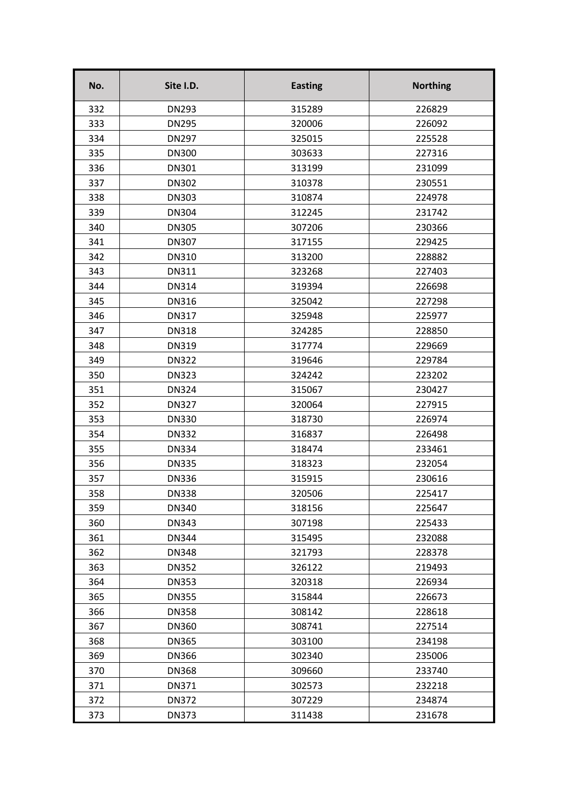| No. | Site I.D.    | <b>Easting</b> | <b>Northing</b> |
|-----|--------------|----------------|-----------------|
| 332 | <b>DN293</b> | 315289         | 226829          |
| 333 | <b>DN295</b> | 320006         | 226092          |
| 334 | <b>DN297</b> | 325015         | 225528          |
| 335 | <b>DN300</b> | 303633         | 227316          |
| 336 | <b>DN301</b> | 313199         | 231099          |
| 337 | <b>DN302</b> | 310378         | 230551          |
| 338 | <b>DN303</b> | 310874         | 224978          |
| 339 | <b>DN304</b> | 312245         | 231742          |
| 340 | <b>DN305</b> | 307206         | 230366          |
| 341 | <b>DN307</b> | 317155         | 229425          |
| 342 | <b>DN310</b> | 313200         | 228882          |
| 343 | <b>DN311</b> | 323268         | 227403          |
| 344 | <b>DN314</b> | 319394         | 226698          |
| 345 | <b>DN316</b> | 325042         | 227298          |
| 346 | <b>DN317</b> | 325948         | 225977          |
| 347 | <b>DN318</b> | 324285         | 228850          |
| 348 | <b>DN319</b> | 317774         | 229669          |
| 349 | <b>DN322</b> | 319646         | 229784          |
| 350 | <b>DN323</b> | 324242         | 223202          |
| 351 | <b>DN324</b> | 315067         | 230427          |
| 352 | <b>DN327</b> | 320064         | 227915          |
| 353 | <b>DN330</b> | 318730         | 226974          |
| 354 | <b>DN332</b> | 316837         | 226498          |
| 355 | <b>DN334</b> | 318474         | 233461          |
| 356 | <b>DN335</b> | 318323         | 232054          |
| 357 | <b>DN336</b> | 315915         | 230616          |
| 358 | <b>DN338</b> | 320506         | 225417          |
| 359 | <b>DN340</b> | 318156         | 225647          |
| 360 | <b>DN343</b> | 307198         | 225433          |
| 361 | <b>DN344</b> | 315495         | 232088          |
| 362 | <b>DN348</b> | 321793         | 228378          |
| 363 | <b>DN352</b> | 326122         | 219493          |
| 364 | <b>DN353</b> | 320318         | 226934          |
| 365 | <b>DN355</b> | 315844         | 226673          |
| 366 | <b>DN358</b> | 308142         | 228618          |
| 367 | <b>DN360</b> | 308741         | 227514          |
| 368 | <b>DN365</b> | 303100         | 234198          |
| 369 | <b>DN366</b> | 302340         | 235006          |
| 370 | <b>DN368</b> | 309660         | 233740          |
| 371 | DN371        | 302573         | 232218          |
| 372 | <b>DN372</b> | 307229         | 234874          |
| 373 | <b>DN373</b> | 311438         | 231678          |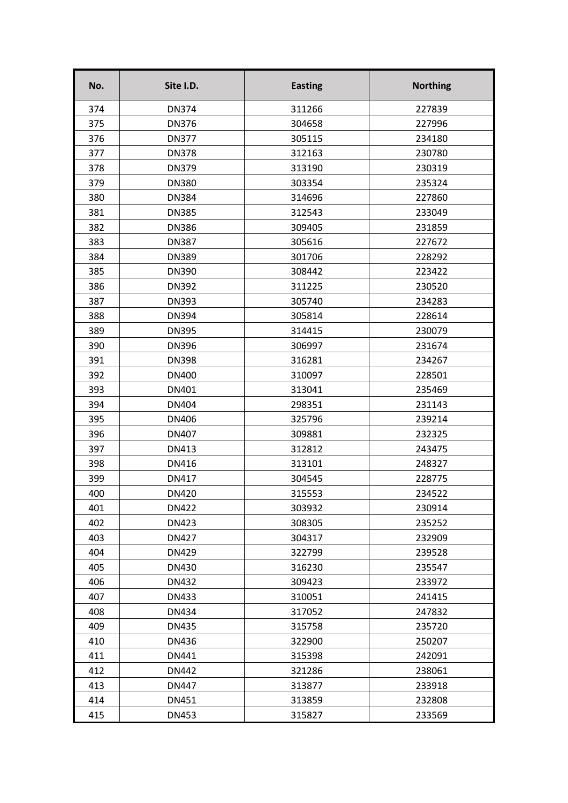| No. | Site I.D.    | <b>Easting</b> | <b>Northing</b> |
|-----|--------------|----------------|-----------------|
| 374 | <b>DN374</b> | 311266         | 227839          |
| 375 | <b>DN376</b> | 304658         | 227996          |
| 376 | <b>DN377</b> | 305115         | 234180          |
| 377 | <b>DN378</b> | 312163         | 230780          |
| 378 | <b>DN379</b> | 313190         | 230319          |
| 379 | <b>DN380</b> | 303354         | 235324          |
| 380 | <b>DN384</b> | 314696         | 227860          |
| 381 | <b>DN385</b> | 312543         | 233049          |
| 382 | <b>DN386</b> | 309405         | 231859          |
| 383 | <b>DN387</b> | 305616         | 227672          |
| 384 | <b>DN389</b> | 301706         | 228292          |
| 385 | <b>DN390</b> | 308442         | 223422          |
| 386 | <b>DN392</b> | 311225         | 230520          |
| 387 | <b>DN393</b> | 305740         | 234283          |
| 388 | <b>DN394</b> | 305814         | 228614          |
| 389 | <b>DN395</b> | 314415         | 230079          |
| 390 | <b>DN396</b> | 306997         | 231674          |
| 391 | <b>DN398</b> | 316281         | 234267          |
| 392 | <b>DN400</b> | 310097         | 228501          |
| 393 | DN401        | 313041         | 235469          |
| 394 | <b>DN404</b> | 298351         | 231143          |
| 395 | <b>DN406</b> | 325796         | 239214          |
| 396 | <b>DN407</b> | 309881         | 232325          |
| 397 | <b>DN413</b> | 312812         | 243475          |
| 398 | DN416        | 313101         | 248327          |
| 399 | <b>DN417</b> | 304545         | 228775          |
| 400 | DN420        | 315553         | 234522          |
| 401 | <b>DN422</b> | 303932         | 230914          |
| 402 | <b>DN423</b> | 308305         | 235252          |
| 403 | <b>DN427</b> | 304317         | 232909          |
| 404 | DN429        | 322799         | 239528          |
| 405 | DN430        | 316230         | 235547          |
| 406 | <b>DN432</b> | 309423         | 233972          |
| 407 | DN433        | 310051         | 241415          |
| 408 | <b>DN434</b> | 317052         | 247832          |
| 409 | <b>DN435</b> | 315758         | 235720          |
| 410 | DN436        | 322900         | 250207          |
| 411 | DN441        | 315398         | 242091          |
| 412 | <b>DN442</b> | 321286         | 238061          |
| 413 | <b>DN447</b> | 313877         | 233918          |
| 414 | DN451        | 313859         | 232808          |
| 415 | <b>DN453</b> | 315827         | 233569          |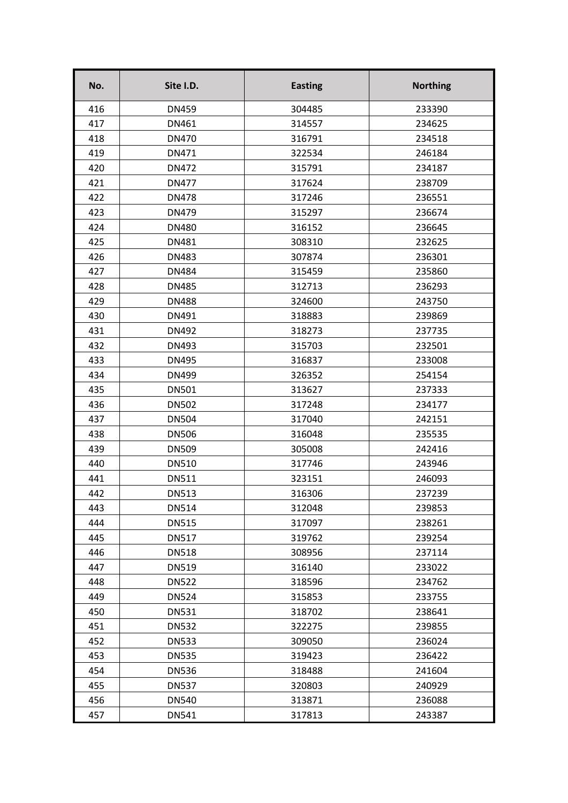| No. | Site I.D.    | <b>Easting</b> | <b>Northing</b> |
|-----|--------------|----------------|-----------------|
| 416 | <b>DN459</b> | 304485         | 233390          |
| 417 | DN461        | 314557         | 234625          |
| 418 | <b>DN470</b> | 316791         | 234518          |
| 419 | DN471        | 322534         | 246184          |
| 420 | <b>DN472</b> | 315791         | 234187          |
| 421 | <b>DN477</b> | 317624         | 238709          |
| 422 | <b>DN478</b> | 317246         | 236551          |
| 423 | <b>DN479</b> | 315297         | 236674          |
| 424 | <b>DN480</b> | 316152         | 236645          |
| 425 | <b>DN481</b> | 308310         | 232625          |
| 426 | <b>DN483</b> | 307874         | 236301          |
| 427 | <b>DN484</b> | 315459         | 235860          |
| 428 | <b>DN485</b> | 312713         | 236293          |
| 429 | <b>DN488</b> | 324600         | 243750          |
| 430 | DN491        | 318883         | 239869          |
| 431 | <b>DN492</b> | 318273         | 237735          |
| 432 | <b>DN493</b> | 315703         | 232501          |
| 433 | <b>DN495</b> | 316837         | 233008          |
| 434 | DN499        | 326352         | 254154          |
| 435 | <b>DN501</b> | 313627         | 237333          |
| 436 | <b>DN502</b> | 317248         | 234177          |
| 437 | <b>DN504</b> | 317040         | 242151          |
| 438 | <b>DN506</b> | 316048         | 235535          |
| 439 | <b>DN509</b> | 305008         | 242416          |
| 440 | <b>DN510</b> | 317746         | 243946          |
| 441 | <b>DN511</b> | 323151         | 246093          |
| 442 | <b>DN513</b> | 316306         | 237239          |
| 443 | <b>DN514</b> | 312048         | 239853          |
| 444 | <b>DN515</b> | 317097         | 238261          |
| 445 | <b>DN517</b> | 319762         | 239254          |
| 446 | <b>DN518</b> | 308956         | 237114          |
| 447 | <b>DN519</b> | 316140         | 233022          |
| 448 | <b>DN522</b> | 318596         | 234762          |
| 449 | <b>DN524</b> | 315853         | 233755          |
| 450 | <b>DN531</b> | 318702         | 238641          |
| 451 | <b>DN532</b> | 322275         | 239855          |
| 452 | <b>DN533</b> | 309050         | 236024          |
| 453 | <b>DN535</b> | 319423         | 236422          |
| 454 | <b>DN536</b> | 318488         | 241604          |
| 455 | <b>DN537</b> | 320803         | 240929          |
| 456 | <b>DN540</b> | 313871         | 236088          |
| 457 | <b>DN541</b> | 317813         | 243387          |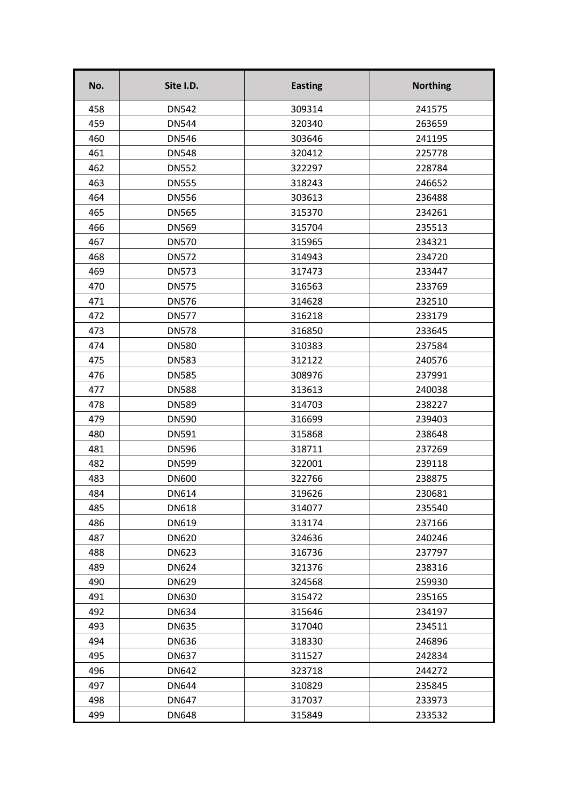| No. | Site I.D.    | <b>Easting</b> | <b>Northing</b> |
|-----|--------------|----------------|-----------------|
| 458 | <b>DN542</b> | 309314         | 241575          |
| 459 | <b>DN544</b> | 320340         | 263659          |
| 460 | <b>DN546</b> | 303646         | 241195          |
| 461 | <b>DN548</b> | 320412         | 225778          |
| 462 | <b>DN552</b> | 322297         | 228784          |
| 463 | <b>DN555</b> | 318243         | 246652          |
| 464 | <b>DN556</b> | 303613         | 236488          |
| 465 | <b>DN565</b> | 315370         | 234261          |
| 466 | <b>DN569</b> | 315704         | 235513          |
| 467 | <b>DN570</b> | 315965         | 234321          |
| 468 | <b>DN572</b> | 314943         | 234720          |
| 469 | <b>DN573</b> | 317473         | 233447          |
| 470 | <b>DN575</b> | 316563         | 233769          |
| 471 | <b>DN576</b> | 314628         | 232510          |
| 472 | <b>DN577</b> | 316218         | 233179          |
| 473 | <b>DN578</b> | 316850         | 233645          |
| 474 | <b>DN580</b> | 310383         | 237584          |
| 475 | <b>DN583</b> | 312122         | 240576          |
| 476 | <b>DN585</b> | 308976         | 237991          |
| 477 | <b>DN588</b> | 313613         | 240038          |
| 478 | <b>DN589</b> | 314703         | 238227          |
| 479 | <b>DN590</b> | 316699         | 239403          |
| 480 | <b>DN591</b> | 315868         | 238648          |
| 481 | <b>DN596</b> | 318711         | 237269          |
| 482 | <b>DN599</b> | 322001         | 239118          |
| 483 | <b>DN600</b> | 322766         | 238875          |
| 484 | DN614        | 319626         | 230681          |
| 485 | <b>DN618</b> | 314077         | 235540          |
| 486 | DN619        | 313174         | 237166          |
| 487 | <b>DN620</b> | 324636         | 240246          |
| 488 | <b>DN623</b> | 316736         | 237797          |
| 489 | <b>DN624</b> | 321376         | 238316          |
| 490 | <b>DN629</b> | 324568         | 259930          |
| 491 | <b>DN630</b> | 315472         | 235165          |
| 492 | <b>DN634</b> | 315646         | 234197          |
| 493 | <b>DN635</b> | 317040         | 234511          |
| 494 | <b>DN636</b> | 318330         | 246896          |
| 495 | <b>DN637</b> | 311527         | 242834          |
| 496 | <b>DN642</b> | 323718         | 244272          |
| 497 | <b>DN644</b> | 310829         | 235845          |
| 498 | <b>DN647</b> | 317037         | 233973          |
| 499 | <b>DN648</b> | 315849         | 233532          |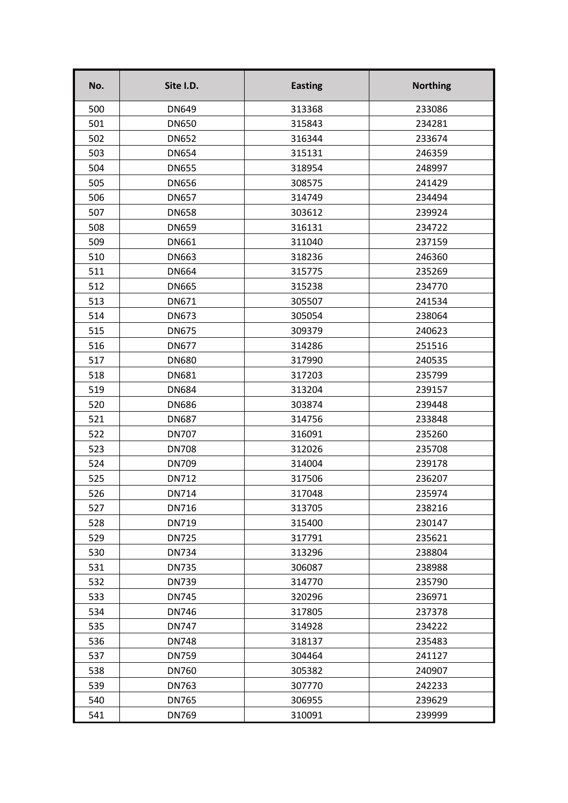| No. | Site I.D.    | <b>Easting</b> | <b>Northing</b> |
|-----|--------------|----------------|-----------------|
| 500 | <b>DN649</b> | 313368         | 233086          |
| 501 | <b>DN650</b> | 315843         | 234281          |
| 502 | <b>DN652</b> | 316344         | 233674          |
| 503 | <b>DN654</b> | 315131         | 246359          |
| 504 | <b>DN655</b> | 318954         | 248997          |
| 505 | <b>DN656</b> | 308575         | 241429          |
| 506 | <b>DN657</b> | 314749         | 234494          |
| 507 | <b>DN658</b> | 303612         | 239924          |
| 508 | <b>DN659</b> | 316131         | 234722          |
| 509 | <b>DN661</b> | 311040         | 237159          |
| 510 | <b>DN663</b> | 318236         | 246360          |
| 511 | <b>DN664</b> | 315775         | 235269          |
| 512 | <b>DN665</b> | 315238         | 234770          |
| 513 | DN671        | 305507         | 241534          |
| 514 | <b>DN673</b> | 305054         | 238064          |
| 515 | <b>DN675</b> | 309379         | 240623          |
| 516 | <b>DN677</b> | 314286         | 251516          |
| 517 | <b>DN680</b> | 317990         | 240535          |
| 518 | <b>DN681</b> | 317203         | 235799          |
| 519 | <b>DN684</b> | 313204         | 239157          |
| 520 | <b>DN686</b> | 303874         | 239448          |
| 521 | <b>DN687</b> | 314756         | 233848          |
| 522 | <b>DN707</b> | 316091         | 235260          |
| 523 | <b>DN708</b> | 312026         | 235708          |
| 524 | <b>DN709</b> | 314004         | 239178          |
| 525 | <b>DN712</b> | 317506         | 236207          |
| 526 | DN714        | 317048         | 235974          |
| 527 | DN716        | 313705         | 238216          |
| 528 | DN719        | 315400         | 230147          |
| 529 | <b>DN725</b> | 317791         | 235621          |
| 530 | <b>DN734</b> | 313296         | 238804          |
| 531 | <b>DN735</b> | 306087         | 238988          |
| 532 | <b>DN739</b> | 314770         | 235790          |
| 533 | <b>DN745</b> | 320296         | 236971          |
| 534 | <b>DN746</b> | 317805         | 237378          |
| 535 | <b>DN747</b> | 314928         | 234222          |
| 536 | <b>DN748</b> | 318137         | 235483          |
| 537 | <b>DN759</b> | 304464         | 241127          |
| 538 | <b>DN760</b> | 305382         | 240907          |
| 539 | <b>DN763</b> | 307770         | 242233          |
| 540 | <b>DN765</b> | 306955         | 239629          |
| 541 | <b>DN769</b> | 310091         | 239999          |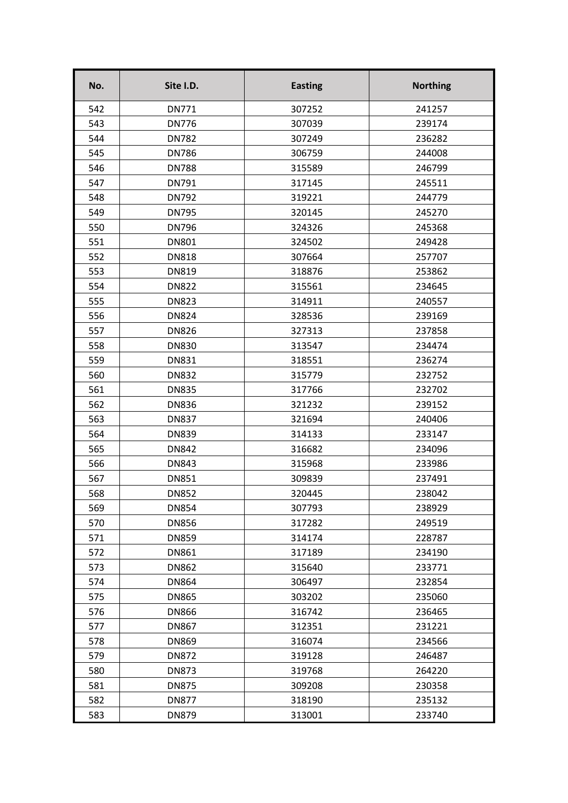| No. | Site I.D.    | <b>Easting</b> | <b>Northing</b> |
|-----|--------------|----------------|-----------------|
| 542 | <b>DN771</b> | 307252         | 241257          |
| 543 | <b>DN776</b> | 307039         | 239174          |
| 544 | <b>DN782</b> | 307249         | 236282          |
| 545 | <b>DN786</b> | 306759         | 244008          |
| 546 | <b>DN788</b> | 315589         | 246799          |
| 547 | DN791        | 317145         | 245511          |
| 548 | <b>DN792</b> | 319221         | 244779          |
| 549 | <b>DN795</b> | 320145         | 245270          |
| 550 | <b>DN796</b> | 324326         | 245368          |
| 551 | <b>DN801</b> | 324502         | 249428          |
| 552 | <b>DN818</b> | 307664         | 257707          |
| 553 | <b>DN819</b> | 318876         | 253862          |
| 554 | <b>DN822</b> | 315561         | 234645          |
| 555 | <b>DN823</b> | 314911         | 240557          |
| 556 | <b>DN824</b> | 328536         | 239169          |
| 557 | <b>DN826</b> | 327313         | 237858          |
| 558 | <b>DN830</b> | 313547         | 234474          |
| 559 | <b>DN831</b> | 318551         | 236274          |
| 560 | <b>DN832</b> | 315779         | 232752          |
| 561 | <b>DN835</b> | 317766         | 232702          |
| 562 | <b>DN836</b> | 321232         | 239152          |
| 563 | <b>DN837</b> | 321694         | 240406          |
| 564 | <b>DN839</b> | 314133         | 233147          |
| 565 | <b>DN842</b> | 316682         | 234096          |
| 566 | <b>DN843</b> | 315968         | 233986          |
| 567 | <b>DN851</b> | 309839         | 237491          |
| 568 | <b>DN852</b> | 320445         | 238042          |
| 569 | <b>DN854</b> | 307793         | 238929          |
| 570 | <b>DN856</b> | 317282         | 249519          |
| 571 | <b>DN859</b> | 314174         | 228787          |
| 572 | <b>DN861</b> | 317189         | 234190          |
| 573 | <b>DN862</b> | 315640         | 233771          |
| 574 | <b>DN864</b> | 306497         | 232854          |
| 575 | <b>DN865</b> | 303202         | 235060          |
| 576 | <b>DN866</b> | 316742         | 236465          |
| 577 | <b>DN867</b> | 312351         | 231221          |
| 578 | <b>DN869</b> | 316074         | 234566          |
| 579 | <b>DN872</b> | 319128         | 246487          |
| 580 | <b>DN873</b> | 319768         | 264220          |
| 581 | <b>DN875</b> | 309208         | 230358          |
| 582 | <b>DN877</b> | 318190         | 235132          |
| 583 | <b>DN879</b> | 313001         | 233740          |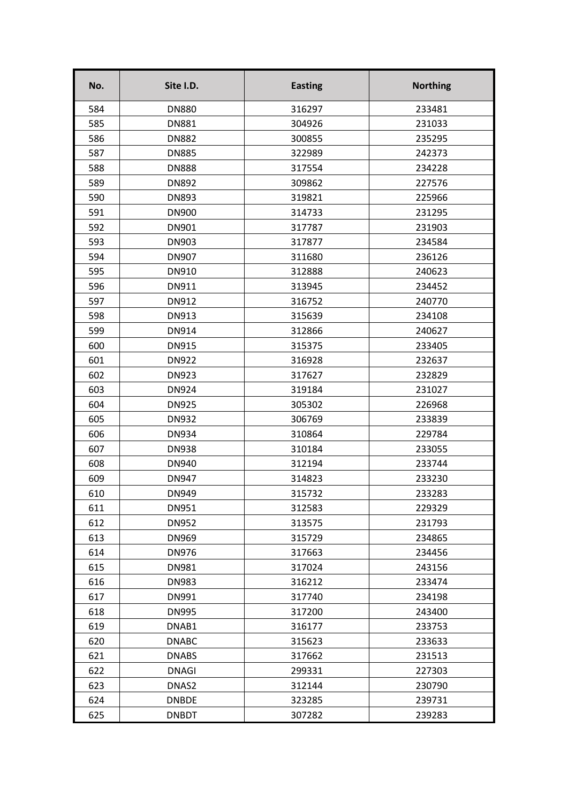| No. | Site I.D.    | <b>Easting</b> | <b>Northing</b> |
|-----|--------------|----------------|-----------------|
| 584 | <b>DN880</b> | 316297         | 233481          |
| 585 | <b>DN881</b> | 304926         | 231033          |
| 586 | <b>DN882</b> | 300855         | 235295          |
| 587 | <b>DN885</b> | 322989         | 242373          |
| 588 | <b>DN888</b> | 317554         | 234228          |
| 589 | <b>DN892</b> | 309862         | 227576          |
| 590 | <b>DN893</b> | 319821         | 225966          |
| 591 | <b>DN900</b> | 314733         | 231295          |
| 592 | DN901        | 317787         | 231903          |
| 593 | DN903        | 317877         | 234584          |
| 594 | <b>DN907</b> | 311680         | 236126          |
| 595 | DN910        | 312888         | 240623          |
| 596 | DN911        | 313945         | 234452          |
| 597 | DN912        | 316752         | 240770          |
| 598 | DN913        | 315639         | 234108          |
| 599 | DN914        | 312866         | 240627          |
| 600 | <b>DN915</b> | 315375         | 233405          |
| 601 | <b>DN922</b> | 316928         | 232637          |
| 602 | <b>DN923</b> | 317627         | 232829          |
| 603 | <b>DN924</b> | 319184         | 231027          |
| 604 | <b>DN925</b> | 305302         | 226968          |
| 605 | <b>DN932</b> | 306769         | 233839          |
| 606 | <b>DN934</b> | 310864         | 229784          |
| 607 | <b>DN938</b> | 310184         | 233055          |
| 608 | DN940        | 312194         | 233744          |
| 609 | <b>DN947</b> | 314823         | 233230          |
| 610 | <b>DN949</b> | 315732         | 233283          |
| 611 | DN951        | 312583         | 229329          |
| 612 | <b>DN952</b> | 313575         | 231793          |
| 613 | <b>DN969</b> | 315729         | 234865          |
| 614 | DN976        | 317663         | 234456          |
| 615 | DN981        | 317024         | 243156          |
| 616 | <b>DN983</b> | 316212         | 233474          |
| 617 | DN991        | 317740         | 234198          |
| 618 | <b>DN995</b> | 317200         | 243400          |
| 619 | DNAB1        | 316177         | 233753          |
| 620 | <b>DNABC</b> | 315623         | 233633          |
| 621 | <b>DNABS</b> | 317662         | 231513          |
| 622 | <b>DNAGI</b> | 299331         | 227303          |
| 623 | DNAS2        | 312144         | 230790          |
| 624 | <b>DNBDE</b> | 323285         | 239731          |
| 625 | <b>DNBDT</b> | 307282         | 239283          |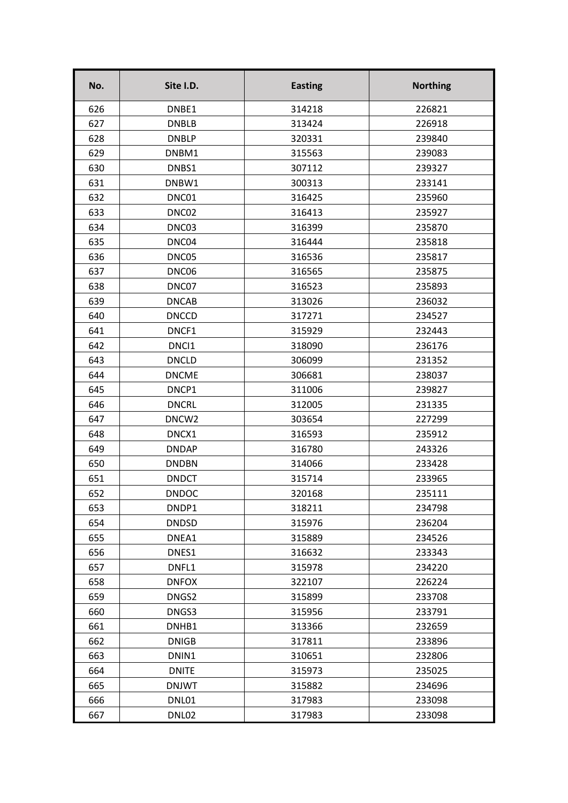| DNBE1<br>314218<br>226821<br>626<br>627<br><b>DNBLB</b><br>313424<br>226918<br>628<br><b>DNBLP</b><br>320331<br>239840<br>629<br>DNBM1<br>315563<br>239083<br>630<br>DNBS1<br>307112<br>239327<br>DNBW1<br>631<br>300313<br>233141<br>DNC01<br>632<br>316425<br>235960<br>633<br>DNC02<br>316413<br>235927<br>634<br>DNC03<br>316399<br>235870<br>635<br>DNC04<br>316444<br>235818<br>636<br>DNC05<br>316536<br>235817<br>637<br>DNC06<br>316565<br>235875<br>638<br>DNC07<br>316523<br>235893<br>639<br><b>DNCAB</b><br>313026<br>236032<br>640<br><b>DNCCD</b><br>317271<br>234527<br>641<br>DNCF1<br>315929<br>232443<br>642<br>DNCI1<br>318090<br>236176<br>643<br><b>DNCLD</b><br>306099<br>231352<br>644<br><b>DNCME</b><br>306681<br>238037<br>645<br>DNCP1<br>311006<br>239827<br>646<br><b>DNCRL</b><br>312005<br>231335<br>647<br>DNCW <sub>2</sub><br>303654<br>227299<br>648<br>DNCX1<br>316593<br>235912<br>649<br><b>DNDAP</b><br>316780<br>243326<br>650<br><b>DNDBN</b><br>314066<br>233428<br><b>DNDCT</b><br>651<br>315714<br>233965<br>652<br><b>DNDOC</b><br>320168<br>235111<br>653<br>DNDP1<br>318211<br>234798<br>654<br><b>DNDSD</b><br>315976<br>236204<br>655<br>DNEA1<br>315889<br>234526<br>656<br>DNES1<br>316632<br>233343<br>657<br>DNFL1<br>315978<br>234220<br>658<br><b>DNFOX</b><br>322107<br>226224<br>659<br>DNGS2<br>315899<br>233708<br>660<br>DNGS3<br>315956<br>233791<br>661<br>DNHB1<br>313366<br>232659<br>662<br><b>DNIGB</b><br>233896<br>317811<br>663<br>DNIN1<br>310651<br>232806<br>664<br><b>DNITE</b><br>315973<br>235025<br>665<br><b>DNJWT</b><br>315882<br>234696<br>666<br>DNL01<br>317983<br>233098 | No. | Site I.D. | <b>Easting</b> | <b>Northing</b> |
|--------------------------------------------------------------------------------------------------------------------------------------------------------------------------------------------------------------------------------------------------------------------------------------------------------------------------------------------------------------------------------------------------------------------------------------------------------------------------------------------------------------------------------------------------------------------------------------------------------------------------------------------------------------------------------------------------------------------------------------------------------------------------------------------------------------------------------------------------------------------------------------------------------------------------------------------------------------------------------------------------------------------------------------------------------------------------------------------------------------------------------------------------------------------------------------------------------------------------------------------------------------------------------------------------------------------------------------------------------------------------------------------------------------------------------------------------------------------------------------------------------------------------------------------------------------------------------------------------------------------------------------------------------------|-----|-----------|----------------|-----------------|
|                                                                                                                                                                                                                                                                                                                                                                                                                                                                                                                                                                                                                                                                                                                                                                                                                                                                                                                                                                                                                                                                                                                                                                                                                                                                                                                                                                                                                                                                                                                                                                                                                                                              |     |           |                |                 |
|                                                                                                                                                                                                                                                                                                                                                                                                                                                                                                                                                                                                                                                                                                                                                                                                                                                                                                                                                                                                                                                                                                                                                                                                                                                                                                                                                                                                                                                                                                                                                                                                                                                              |     |           |                |                 |
|                                                                                                                                                                                                                                                                                                                                                                                                                                                                                                                                                                                                                                                                                                                                                                                                                                                                                                                                                                                                                                                                                                                                                                                                                                                                                                                                                                                                                                                                                                                                                                                                                                                              |     |           |                |                 |
|                                                                                                                                                                                                                                                                                                                                                                                                                                                                                                                                                                                                                                                                                                                                                                                                                                                                                                                                                                                                                                                                                                                                                                                                                                                                                                                                                                                                                                                                                                                                                                                                                                                              |     |           |                |                 |
|                                                                                                                                                                                                                                                                                                                                                                                                                                                                                                                                                                                                                                                                                                                                                                                                                                                                                                                                                                                                                                                                                                                                                                                                                                                                                                                                                                                                                                                                                                                                                                                                                                                              |     |           |                |                 |
|                                                                                                                                                                                                                                                                                                                                                                                                                                                                                                                                                                                                                                                                                                                                                                                                                                                                                                                                                                                                                                                                                                                                                                                                                                                                                                                                                                                                                                                                                                                                                                                                                                                              |     |           |                |                 |
|                                                                                                                                                                                                                                                                                                                                                                                                                                                                                                                                                                                                                                                                                                                                                                                                                                                                                                                                                                                                                                                                                                                                                                                                                                                                                                                                                                                                                                                                                                                                                                                                                                                              |     |           |                |                 |
|                                                                                                                                                                                                                                                                                                                                                                                                                                                                                                                                                                                                                                                                                                                                                                                                                                                                                                                                                                                                                                                                                                                                                                                                                                                                                                                                                                                                                                                                                                                                                                                                                                                              |     |           |                |                 |
|                                                                                                                                                                                                                                                                                                                                                                                                                                                                                                                                                                                                                                                                                                                                                                                                                                                                                                                                                                                                                                                                                                                                                                                                                                                                                                                                                                                                                                                                                                                                                                                                                                                              |     |           |                |                 |
|                                                                                                                                                                                                                                                                                                                                                                                                                                                                                                                                                                                                                                                                                                                                                                                                                                                                                                                                                                                                                                                                                                                                                                                                                                                                                                                                                                                                                                                                                                                                                                                                                                                              |     |           |                |                 |
|                                                                                                                                                                                                                                                                                                                                                                                                                                                                                                                                                                                                                                                                                                                                                                                                                                                                                                                                                                                                                                                                                                                                                                                                                                                                                                                                                                                                                                                                                                                                                                                                                                                              |     |           |                |                 |
|                                                                                                                                                                                                                                                                                                                                                                                                                                                                                                                                                                                                                                                                                                                                                                                                                                                                                                                                                                                                                                                                                                                                                                                                                                                                                                                                                                                                                                                                                                                                                                                                                                                              |     |           |                |                 |
|                                                                                                                                                                                                                                                                                                                                                                                                                                                                                                                                                                                                                                                                                                                                                                                                                                                                                                                                                                                                                                                                                                                                                                                                                                                                                                                                                                                                                                                                                                                                                                                                                                                              |     |           |                |                 |
|                                                                                                                                                                                                                                                                                                                                                                                                                                                                                                                                                                                                                                                                                                                                                                                                                                                                                                                                                                                                                                                                                                                                                                                                                                                                                                                                                                                                                                                                                                                                                                                                                                                              |     |           |                |                 |
|                                                                                                                                                                                                                                                                                                                                                                                                                                                                                                                                                                                                                                                                                                                                                                                                                                                                                                                                                                                                                                                                                                                                                                                                                                                                                                                                                                                                                                                                                                                                                                                                                                                              |     |           |                |                 |
|                                                                                                                                                                                                                                                                                                                                                                                                                                                                                                                                                                                                                                                                                                                                                                                                                                                                                                                                                                                                                                                                                                                                                                                                                                                                                                                                                                                                                                                                                                                                                                                                                                                              |     |           |                |                 |
|                                                                                                                                                                                                                                                                                                                                                                                                                                                                                                                                                                                                                                                                                                                                                                                                                                                                                                                                                                                                                                                                                                                                                                                                                                                                                                                                                                                                                                                                                                                                                                                                                                                              |     |           |                |                 |
|                                                                                                                                                                                                                                                                                                                                                                                                                                                                                                                                                                                                                                                                                                                                                                                                                                                                                                                                                                                                                                                                                                                                                                                                                                                                                                                                                                                                                                                                                                                                                                                                                                                              |     |           |                |                 |
|                                                                                                                                                                                                                                                                                                                                                                                                                                                                                                                                                                                                                                                                                                                                                                                                                                                                                                                                                                                                                                                                                                                                                                                                                                                                                                                                                                                                                                                                                                                                                                                                                                                              |     |           |                |                 |
|                                                                                                                                                                                                                                                                                                                                                                                                                                                                                                                                                                                                                                                                                                                                                                                                                                                                                                                                                                                                                                                                                                                                                                                                                                                                                                                                                                                                                                                                                                                                                                                                                                                              |     |           |                |                 |
|                                                                                                                                                                                                                                                                                                                                                                                                                                                                                                                                                                                                                                                                                                                                                                                                                                                                                                                                                                                                                                                                                                                                                                                                                                                                                                                                                                                                                                                                                                                                                                                                                                                              |     |           |                |                 |
|                                                                                                                                                                                                                                                                                                                                                                                                                                                                                                                                                                                                                                                                                                                                                                                                                                                                                                                                                                                                                                                                                                                                                                                                                                                                                                                                                                                                                                                                                                                                                                                                                                                              |     |           |                |                 |
|                                                                                                                                                                                                                                                                                                                                                                                                                                                                                                                                                                                                                                                                                                                                                                                                                                                                                                                                                                                                                                                                                                                                                                                                                                                                                                                                                                                                                                                                                                                                                                                                                                                              |     |           |                |                 |
|                                                                                                                                                                                                                                                                                                                                                                                                                                                                                                                                                                                                                                                                                                                                                                                                                                                                                                                                                                                                                                                                                                                                                                                                                                                                                                                                                                                                                                                                                                                                                                                                                                                              |     |           |                |                 |
|                                                                                                                                                                                                                                                                                                                                                                                                                                                                                                                                                                                                                                                                                                                                                                                                                                                                                                                                                                                                                                                                                                                                                                                                                                                                                                                                                                                                                                                                                                                                                                                                                                                              |     |           |                |                 |
|                                                                                                                                                                                                                                                                                                                                                                                                                                                                                                                                                                                                                                                                                                                                                                                                                                                                                                                                                                                                                                                                                                                                                                                                                                                                                                                                                                                                                                                                                                                                                                                                                                                              |     |           |                |                 |
|                                                                                                                                                                                                                                                                                                                                                                                                                                                                                                                                                                                                                                                                                                                                                                                                                                                                                                                                                                                                                                                                                                                                                                                                                                                                                                                                                                                                                                                                                                                                                                                                                                                              |     |           |                |                 |
|                                                                                                                                                                                                                                                                                                                                                                                                                                                                                                                                                                                                                                                                                                                                                                                                                                                                                                                                                                                                                                                                                                                                                                                                                                                                                                                                                                                                                                                                                                                                                                                                                                                              |     |           |                |                 |
|                                                                                                                                                                                                                                                                                                                                                                                                                                                                                                                                                                                                                                                                                                                                                                                                                                                                                                                                                                                                                                                                                                                                                                                                                                                                                                                                                                                                                                                                                                                                                                                                                                                              |     |           |                |                 |
|                                                                                                                                                                                                                                                                                                                                                                                                                                                                                                                                                                                                                                                                                                                                                                                                                                                                                                                                                                                                                                                                                                                                                                                                                                                                                                                                                                                                                                                                                                                                                                                                                                                              |     |           |                |                 |
|                                                                                                                                                                                                                                                                                                                                                                                                                                                                                                                                                                                                                                                                                                                                                                                                                                                                                                                                                                                                                                                                                                                                                                                                                                                                                                                                                                                                                                                                                                                                                                                                                                                              |     |           |                |                 |
|                                                                                                                                                                                                                                                                                                                                                                                                                                                                                                                                                                                                                                                                                                                                                                                                                                                                                                                                                                                                                                                                                                                                                                                                                                                                                                                                                                                                                                                                                                                                                                                                                                                              |     |           |                |                 |
|                                                                                                                                                                                                                                                                                                                                                                                                                                                                                                                                                                                                                                                                                                                                                                                                                                                                                                                                                                                                                                                                                                                                                                                                                                                                                                                                                                                                                                                                                                                                                                                                                                                              |     |           |                |                 |
|                                                                                                                                                                                                                                                                                                                                                                                                                                                                                                                                                                                                                                                                                                                                                                                                                                                                                                                                                                                                                                                                                                                                                                                                                                                                                                                                                                                                                                                                                                                                                                                                                                                              |     |           |                |                 |
|                                                                                                                                                                                                                                                                                                                                                                                                                                                                                                                                                                                                                                                                                                                                                                                                                                                                                                                                                                                                                                                                                                                                                                                                                                                                                                                                                                                                                                                                                                                                                                                                                                                              |     |           |                |                 |
|                                                                                                                                                                                                                                                                                                                                                                                                                                                                                                                                                                                                                                                                                                                                                                                                                                                                                                                                                                                                                                                                                                                                                                                                                                                                                                                                                                                                                                                                                                                                                                                                                                                              |     |           |                |                 |
|                                                                                                                                                                                                                                                                                                                                                                                                                                                                                                                                                                                                                                                                                                                                                                                                                                                                                                                                                                                                                                                                                                                                                                                                                                                                                                                                                                                                                                                                                                                                                                                                                                                              |     |           |                |                 |
|                                                                                                                                                                                                                                                                                                                                                                                                                                                                                                                                                                                                                                                                                                                                                                                                                                                                                                                                                                                                                                                                                                                                                                                                                                                                                                                                                                                                                                                                                                                                                                                                                                                              |     |           |                |                 |
|                                                                                                                                                                                                                                                                                                                                                                                                                                                                                                                                                                                                                                                                                                                                                                                                                                                                                                                                                                                                                                                                                                                                                                                                                                                                                                                                                                                                                                                                                                                                                                                                                                                              |     |           |                |                 |
|                                                                                                                                                                                                                                                                                                                                                                                                                                                                                                                                                                                                                                                                                                                                                                                                                                                                                                                                                                                                                                                                                                                                                                                                                                                                                                                                                                                                                                                                                                                                                                                                                                                              |     |           |                |                 |
|                                                                                                                                                                                                                                                                                                                                                                                                                                                                                                                                                                                                                                                                                                                                                                                                                                                                                                                                                                                                                                                                                                                                                                                                                                                                                                                                                                                                                                                                                                                                                                                                                                                              |     |           |                |                 |
| 667<br>DNL02<br>317983<br>233098                                                                                                                                                                                                                                                                                                                                                                                                                                                                                                                                                                                                                                                                                                                                                                                                                                                                                                                                                                                                                                                                                                                                                                                                                                                                                                                                                                                                                                                                                                                                                                                                                             |     |           |                |                 |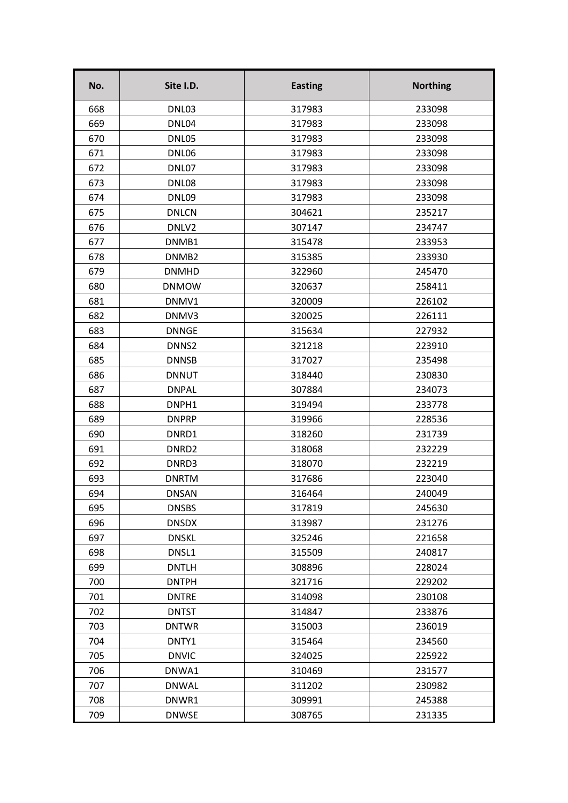| No. | Site I.D.         | <b>Easting</b> | <b>Northing</b> |
|-----|-------------------|----------------|-----------------|
| 668 | DNL03             | 317983         | 233098          |
| 669 | DNL04             | 317983         | 233098          |
| 670 | DNL05             | 317983         | 233098          |
| 671 | DNL06             | 317983         | 233098          |
| 672 | DNL07             | 317983         | 233098          |
| 673 | DNL08             | 317983         | 233098          |
| 674 | DNL09             | 317983         | 233098          |
| 675 | <b>DNLCN</b>      | 304621         | 235217          |
| 676 | DNLV2             | 307147         | 234747          |
| 677 | DNMB1             | 315478         | 233953          |
| 678 | DNMB <sub>2</sub> | 315385         | 233930          |
| 679 | <b>DNMHD</b>      | 322960         | 245470          |
| 680 | <b>DNMOW</b>      | 320637         | 258411          |
| 681 | DNMV1             | 320009         | 226102          |
| 682 | DNMV3             | 320025         | 226111          |
| 683 | <b>DNNGE</b>      | 315634         | 227932          |
| 684 | DNNS2             | 321218         | 223910          |
| 685 | <b>DNNSB</b>      | 317027         | 235498          |
| 686 | <b>DNNUT</b>      | 318440         | 230830          |
| 687 | <b>DNPAL</b>      | 307884         | 234073          |
| 688 | DNPH1             | 319494         | 233778          |
| 689 | <b>DNPRP</b>      | 319966         | 228536          |
| 690 | DNRD1             | 318260         | 231739          |
| 691 | DNRD <sub>2</sub> | 318068         | 232229          |
| 692 | DNRD3             | 318070         | 232219          |
| 693 | <b>DNRTM</b>      | 317686         | 223040          |
| 694 | <b>DNSAN</b>      | 316464         | 240049          |
| 695 | <b>DNSBS</b>      | 317819         | 245630          |
| 696 | <b>DNSDX</b>      | 313987         | 231276          |
| 697 | <b>DNSKL</b>      | 325246         | 221658          |
| 698 | DNSL1             | 315509         | 240817          |
| 699 | <b>DNTLH</b>      | 308896         | 228024          |
| 700 | <b>DNTPH</b>      | 321716         | 229202          |
| 701 | <b>DNTRE</b>      | 314098         | 230108          |
| 702 | <b>DNTST</b>      | 314847         | 233876          |
| 703 | <b>DNTWR</b>      | 315003         | 236019          |
| 704 | DNTY1             | 315464         | 234560          |
| 705 | <b>DNVIC</b>      | 324025         | 225922          |
| 706 | DNWA1             | 310469         | 231577          |
| 707 | <b>DNWAL</b>      | 311202         | 230982          |
| 708 | DNWR1             | 309991         | 245388          |
| 709 | <b>DNWSE</b>      | 308765         | 231335          |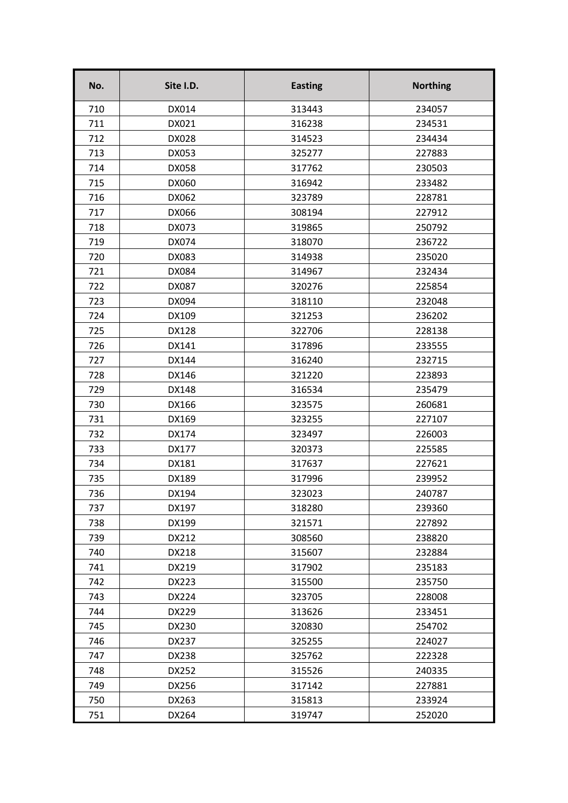| No. | Site I.D.    | <b>Easting</b> | <b>Northing</b> |
|-----|--------------|----------------|-----------------|
| 710 | DX014        | 313443         | 234057          |
| 711 | DX021        | 316238         | 234531          |
| 712 | DX028        | 314523         | 234434          |
| 713 | DX053        | 325277         | 227883          |
| 714 | <b>DX058</b> | 317762         | 230503          |
| 715 | DX060        | 316942         | 233482          |
| 716 | DX062        | 323789         | 228781          |
| 717 | DX066        | 308194         | 227912          |
| 718 | DX073        | 319865         | 250792          |
| 719 | DX074        | 318070         | 236722          |
| 720 | DX083        | 314938         | 235020          |
| 721 | DX084        | 314967         | 232434          |
| 722 | DX087        | 320276         | 225854          |
| 723 | DX094        | 318110         | 232048          |
| 724 | DX109        | 321253         | 236202          |
| 725 | DX128        | 322706         | 228138          |
| 726 | DX141        | 317896         | 233555          |
| 727 | DX144        | 316240         | 232715          |
| 728 | DX146        | 321220         | 223893          |
| 729 | DX148        | 316534         | 235479          |
| 730 | DX166        | 323575         | 260681          |
| 731 | DX169        | 323255         | 227107          |
| 732 | DX174        | 323497         | 226003          |
| 733 | <b>DX177</b> | 320373         | 225585          |
| 734 | DX181        | 317637         | 227621          |
| 735 | DX189        | 317996         | 239952          |
| 736 | DX194        | 323023         | 240787          |
| 737 | DX197        | 318280         | 239360          |
| 738 | DX199        | 321571         | 227892          |
| 739 | DX212        | 308560         | 238820          |
| 740 | DX218        | 315607         | 232884          |
| 741 | DX219        | 317902         | 235183          |
| 742 | DX223        | 315500         | 235750          |
| 743 | DX224        | 323705         | 228008          |
| 744 | DX229        | 313626         | 233451          |
| 745 | DX230        | 320830         | 254702          |
| 746 | DX237        | 325255         | 224027          |
| 747 | DX238        | 325762         | 222328          |
| 748 | DX252        | 315526         | 240335          |
| 749 | DX256        | 317142         | 227881          |
| 750 | DX263        | 315813         | 233924          |
| 751 | DX264        | 319747         | 252020          |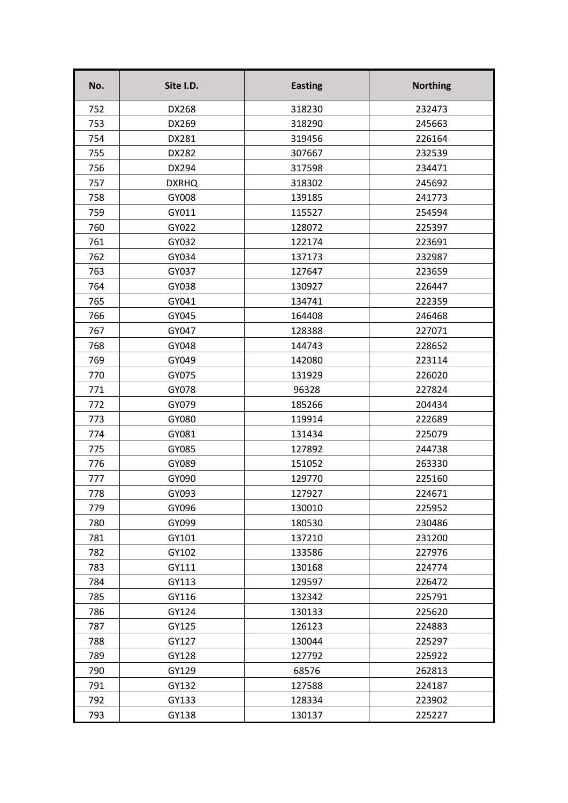| No. | Site I.D.    | <b>Easting</b> | <b>Northing</b> |
|-----|--------------|----------------|-----------------|
| 752 | DX268        | 318230         | 232473          |
| 753 | DX269        | 318290         | 245663          |
| 754 | DX281        | 319456         | 226164          |
| 755 | DX282        | 307667         | 232539          |
| 756 | DX294        | 317598         | 234471          |
| 757 | <b>DXRHQ</b> | 318302         | 245692          |
| 758 | GY008        | 139185         | 241773          |
| 759 | GY011        | 115527         | 254594          |
| 760 | GY022        | 128072         | 225397          |
| 761 | GY032        | 122174         | 223691          |
| 762 | GY034        | 137173         | 232987          |
| 763 | GY037        | 127647         | 223659          |
| 764 | GY038        | 130927         | 226447          |
| 765 | GY041        | 134741         | 222359          |
| 766 | GY045        | 164408         | 246468          |
| 767 | GY047        | 128388         | 227071          |
| 768 | GY048        | 144743         | 228652          |
| 769 | GY049        | 142080         | 223114          |
| 770 | GY075        | 131929         | 226020          |
| 771 | GY078        | 96328          | 227824          |
| 772 | GY079        | 185266         | 204434          |
| 773 | GY080        | 119914         | 222689          |
| 774 | GY081        | 131434         | 225079          |
| 775 | GY085        | 127892         | 244738          |
| 776 | GY089        | 151052         | 263330          |
| 777 | GY090        | 129770         | 225160          |
| 778 | GY093        | 127927         | 224671          |
| 779 | GY096        | 130010         | 225952          |
| 780 | GY099        | 180530         | 230486          |
| 781 | GY101        | 137210         | 231200          |
| 782 | GY102        | 133586         | 227976          |
| 783 | GY111        | 130168         | 224774          |
| 784 | GY113        | 129597         | 226472          |
| 785 | GY116        | 132342         | 225791          |
| 786 | GY124        | 130133         | 225620          |
| 787 | GY125        | 126123         | 224883          |
| 788 | GY127        | 130044         | 225297          |
| 789 | GY128        | 127792         | 225922          |
| 790 | GY129        | 68576          | 262813          |
| 791 | GY132        | 127588         | 224187          |
| 792 | GY133        | 128334         | 223902          |
| 793 | GY138        | 130137         | 225227          |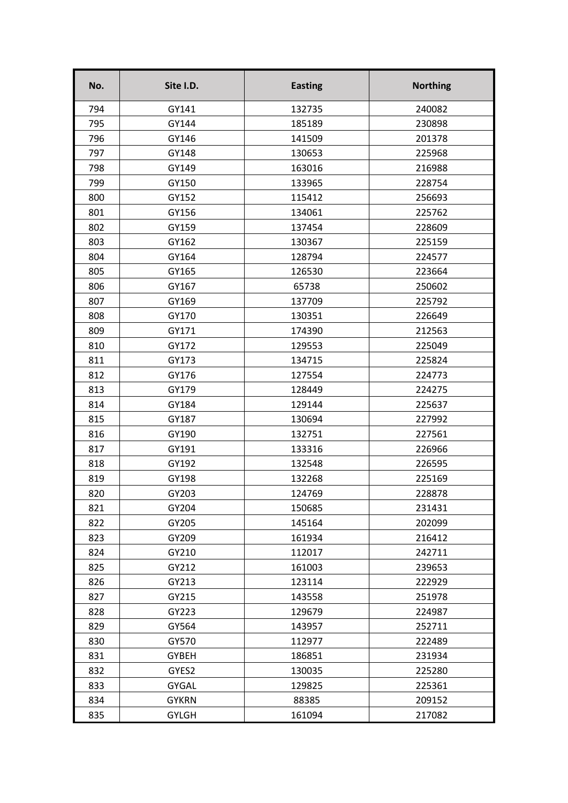| No. | Site I.D.    | <b>Easting</b> | <b>Northing</b> |
|-----|--------------|----------------|-----------------|
| 794 | GY141        | 132735         | 240082          |
| 795 | GY144        | 185189         | 230898          |
| 796 | GY146        | 141509         | 201378          |
| 797 | GY148        | 130653         | 225968          |
| 798 | GY149        | 163016         | 216988          |
| 799 | GY150        | 133965         | 228754          |
| 800 | GY152        | 115412         | 256693          |
| 801 | GY156        | 134061         | 225762          |
| 802 | GY159        | 137454         | 228609          |
| 803 | GY162        | 130367         | 225159          |
| 804 | GY164        | 128794         | 224577          |
| 805 | GY165        | 126530         | 223664          |
| 806 | GY167        | 65738          | 250602          |
| 807 | GY169        | 137709         | 225792          |
| 808 | GY170        | 130351         | 226649          |
| 809 | GY171        | 174390         | 212563          |
| 810 | GY172        | 129553         | 225049          |
| 811 | GY173        | 134715         | 225824          |
| 812 | GY176        | 127554         | 224773          |
| 813 | GY179        | 128449         | 224275          |
| 814 | GY184        | 129144         | 225637          |
| 815 | GY187        | 130694         | 227992          |
| 816 | GY190        | 132751         | 227561          |
| 817 | GY191        | 133316         | 226966          |
| 818 | GY192        | 132548         | 226595          |
| 819 | GY198        | 132268         | 225169          |
| 820 | GY203        | 124769         | 228878          |
| 821 | GY204        | 150685         | 231431          |
| 822 | GY205        | 145164         | 202099          |
| 823 | GY209        | 161934         | 216412          |
| 824 | GY210        | 112017         | 242711          |
| 825 | GY212        | 161003         | 239653          |
| 826 | GY213        | 123114         | 222929          |
| 827 | GY215        | 143558         | 251978          |
| 828 | GY223        | 129679         | 224987          |
| 829 | GY564        | 143957         | 252711          |
| 830 | GY570        | 112977         | 222489          |
| 831 | <b>GYBEH</b> | 186851         | 231934          |
| 832 | GYES2        | 130035         | 225280          |
| 833 | <b>GYGAL</b> | 129825         | 225361          |
| 834 | <b>GYKRN</b> | 88385          | 209152          |
| 835 | <b>GYLGH</b> | 161094         | 217082          |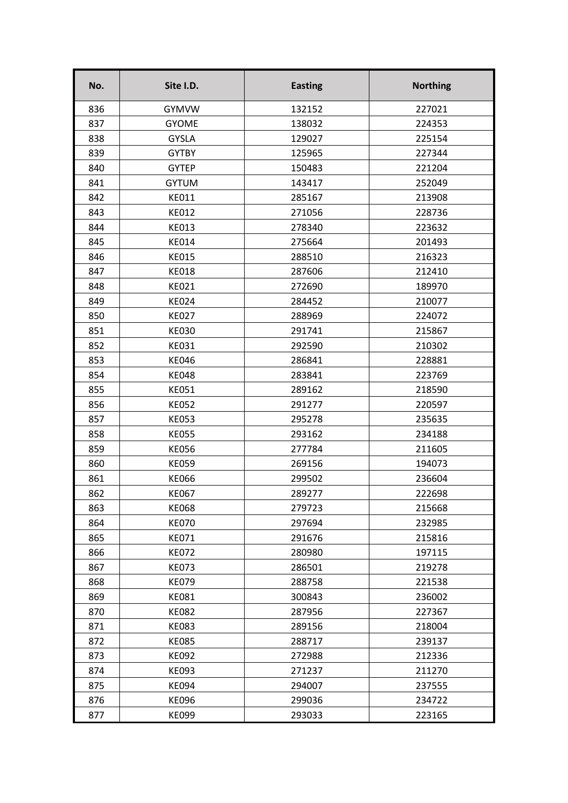| No. | Site I.D.    | <b>Easting</b> | <b>Northing</b> |
|-----|--------------|----------------|-----------------|
| 836 | <b>GYMVW</b> | 132152         | 227021          |
| 837 | <b>GYOME</b> | 138032         | 224353          |
| 838 | <b>GYSLA</b> | 129027         | 225154          |
| 839 | <b>GYTBY</b> | 125965         | 227344          |
| 840 | <b>GYTEP</b> | 150483         | 221204          |
| 841 | <b>GYTUM</b> | 143417         | 252049          |
| 842 | KE011        | 285167         | 213908          |
| 843 | <b>KE012</b> | 271056         | 228736          |
| 844 | <b>KE013</b> | 278340         | 223632          |
| 845 | <b>KE014</b> | 275664         | 201493          |
| 846 | <b>KE015</b> | 288510         | 216323          |
| 847 | <b>KE018</b> | 287606         | 212410          |
| 848 | <b>KE021</b> | 272690         | 189970          |
| 849 | <b>KE024</b> | 284452         | 210077          |
| 850 | KE027        | 288969         | 224072          |
| 851 | <b>KE030</b> | 291741         | 215867          |
| 852 | <b>KE031</b> | 292590         | 210302          |
| 853 | <b>KE046</b> | 286841         | 228881          |
| 854 | <b>KE048</b> | 283841         | 223769          |
| 855 | KE051        | 289162         | 218590          |
| 856 | <b>KE052</b> | 291277         | 220597          |
| 857 | <b>KE053</b> | 295278         | 235635          |
| 858 | <b>KE055</b> | 293162         | 234188          |
| 859 | <b>KE056</b> | 277784         | 211605          |
| 860 | <b>KE059</b> | 269156         | 194073          |
| 861 | <b>KE066</b> | 299502         | 236604          |
| 862 | <b>KE067</b> | 289277         | 222698          |
| 863 | <b>KE068</b> | 279723         | 215668          |
| 864 | <b>KE070</b> | 297694         | 232985          |
| 865 | KE071        | 291676         | 215816          |
| 866 | <b>KE072</b> | 280980         | 197115          |
| 867 | <b>KE073</b> | 286501         | 219278          |
| 868 | <b>KE079</b> | 288758         | 221538          |
| 869 | <b>KE081</b> | 300843         | 236002          |
| 870 | <b>KE082</b> | 287956         | 227367          |
| 871 | <b>KE083</b> | 289156         | 218004          |
| 872 | <b>KE085</b> | 288717         | 239137          |
| 873 | <b>KE092</b> | 272988         | 212336          |
| 874 | KE093        | 271237         | 211270          |
| 875 | <b>KE094</b> | 294007         | 237555          |
| 876 | <b>KE096</b> | 299036         | 234722          |
| 877 | <b>KE099</b> | 293033         | 223165          |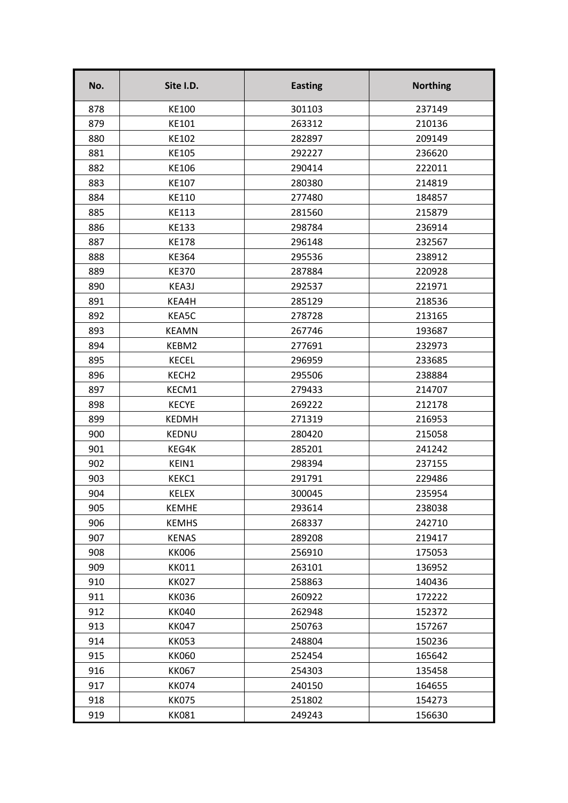| No. | Site I.D.         | <b>Easting</b> | <b>Northing</b> |
|-----|-------------------|----------------|-----------------|
| 878 | KE100             | 301103         | 237149          |
| 879 | KE101             | 263312         | 210136          |
| 880 | KE102             | 282897         | 209149          |
| 881 | KE105             | 292227         | 236620          |
| 882 | KE106             | 290414         | 222011          |
| 883 | KE107             | 280380         | 214819          |
| 884 | KE110             | 277480         | 184857          |
| 885 | <b>KE113</b>      | 281560         | 215879          |
| 886 | KE133             | 298784         | 236914          |
| 887 | <b>KE178</b>      | 296148         | 232567          |
| 888 | <b>KE364</b>      | 295536         | 238912          |
| 889 | <b>KE370</b>      | 287884         | 220928          |
| 890 | KEA3J             | 292537         | 221971          |
| 891 | KEA4H             | 285129         | 218536          |
| 892 | KEA5C             | 278728         | 213165          |
| 893 | <b>KEAMN</b>      | 267746         | 193687          |
| 894 | KEBM2             | 277691         | 232973          |
| 895 | <b>KECEL</b>      | 296959         | 233685          |
| 896 | KECH <sub>2</sub> | 295506         | 238884          |
| 897 | KECM1             | 279433         | 214707          |
| 898 | <b>KECYE</b>      | 269222         | 212178          |
| 899 | <b>KEDMH</b>      | 271319         | 216953          |
| 900 | <b>KEDNU</b>      | 280420         | 215058          |
| 901 | KEG4K             | 285201         | 241242          |
| 902 | KEIN1             | 298394         | 237155          |
| 903 | KEKC1             | 291791         | 229486          |
| 904 | <b>KELEX</b>      | 300045         | 235954          |
| 905 | <b>KEMHE</b>      | 293614         | 238038          |
| 906 | <b>KEMHS</b>      | 268337         | 242710          |
| 907 | <b>KENAS</b>      | 289208         | 219417          |
| 908 | <b>KK006</b>      | 256910         | 175053          |
| 909 | <b>KK011</b>      | 263101         | 136952          |
| 910 | <b>KK027</b>      | 258863         | 140436          |
| 911 | <b>KK036</b>      | 260922         | 172222          |
| 912 | <b>KK040</b>      | 262948         | 152372          |
| 913 | <b>KK047</b>      | 250763         | 157267          |
| 914 | <b>KK053</b>      | 248804         | 150236          |
| 915 | <b>KK060</b>      | 252454         | 165642          |
| 916 | <b>KK067</b>      | 254303         | 135458          |
| 917 | <b>KK074</b>      | 240150         | 164655          |
| 918 | <b>KK075</b>      | 251802         | 154273          |
| 919 | <b>KK081</b>      | 249243         | 156630          |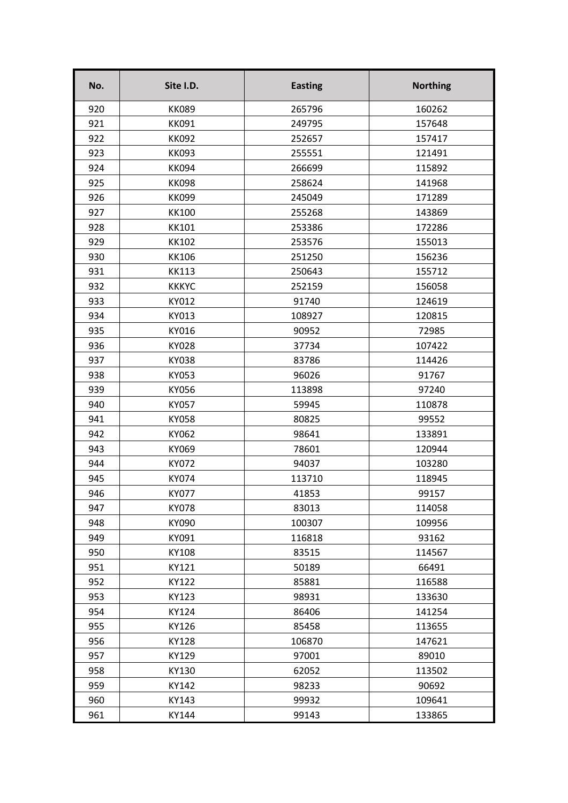| No. | Site I.D.    | <b>Easting</b> | <b>Northing</b> |
|-----|--------------|----------------|-----------------|
| 920 | <b>KK089</b> | 265796         | 160262          |
| 921 | <b>KK091</b> | 249795         | 157648          |
| 922 | <b>KK092</b> | 252657         | 157417          |
| 923 | <b>KK093</b> | 255551         | 121491          |
| 924 | <b>KK094</b> | 266699         | 115892          |
| 925 | <b>KK098</b> | 258624         | 141968          |
| 926 | <b>KK099</b> | 245049         | 171289          |
| 927 | <b>KK100</b> | 255268         | 143869          |
| 928 | <b>KK101</b> | 253386         | 172286          |
| 929 | <b>KK102</b> | 253576         | 155013          |
| 930 | <b>KK106</b> | 251250         | 156236          |
| 931 | <b>KK113</b> | 250643         | 155712          |
| 932 | <b>KKKYC</b> | 252159         | 156058          |
| 933 | KY012        | 91740          | 124619          |
| 934 | KY013        | 108927         | 120815          |
| 935 | KY016        | 90952          | 72985           |
| 936 | <b>KY028</b> | 37734          | 107422          |
| 937 | <b>KY038</b> | 83786          | 114426          |
| 938 | KY053        | 96026          | 91767           |
| 939 | KY056        | 113898         | 97240           |
| 940 | KY057        | 59945          | 110878          |
| 941 | <b>KY058</b> | 80825          | 99552           |
| 942 | KY062        | 98641          | 133891          |
| 943 | KY069        | 78601          | 120944          |
| 944 | KY072        | 94037          | 103280          |
| 945 | KY074        | 113710         | 118945          |
| 946 | <b>KY077</b> | 41853          | 99157           |
| 947 | <b>KY078</b> | 83013          | 114058          |
| 948 | KY090        | 100307         | 109956          |
| 949 | KY091        | 116818         | 93162           |
| 950 | KY108        | 83515          | 114567          |
| 951 | KY121        | 50189          | 66491           |
| 952 | KY122        | 85881          | 116588          |
| 953 | KY123        | 98931          | 133630          |
| 954 | KY124        | 86406          | 141254          |
| 955 | KY126        | 85458          | 113655          |
| 956 | KY128        | 106870         | 147621          |
| 957 | KY129        | 97001          | 89010           |
| 958 | KY130        | 62052          | 113502          |
| 959 | KY142        | 98233          | 90692           |
| 960 | KY143        | 99932          | 109641          |
| 961 | KY144        | 99143          | 133865          |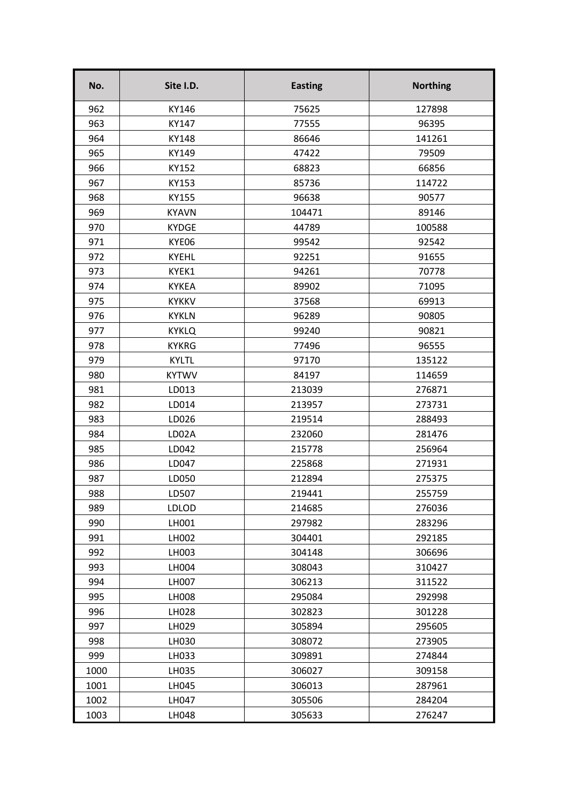| No.  | Site I.D.    | <b>Easting</b> | <b>Northing</b> |
|------|--------------|----------------|-----------------|
| 962  | KY146        | 75625          | 127898          |
| 963  | KY147        | 77555          | 96395           |
| 964  | KY148        | 86646          | 141261          |
| 965  | KY149        | 47422          | 79509           |
| 966  | KY152        | 68823          | 66856           |
| 967  | KY153        | 85736          | 114722          |
| 968  | KY155        | 96638          | 90577           |
| 969  | <b>KYAVN</b> | 104471         | 89146           |
| 970  | <b>KYDGE</b> | 44789          | 100588          |
| 971  | KYE06        | 99542          | 92542           |
| 972  | <b>KYEHL</b> | 92251          | 91655           |
| 973  | KYEK1        | 94261          | 70778           |
| 974  | <b>KYKEA</b> | 89902          | 71095           |
| 975  | <b>KYKKV</b> | 37568          | 69913           |
| 976  | <b>KYKLN</b> | 96289          | 90805           |
| 977  | <b>KYKLQ</b> | 99240          | 90821           |
| 978  | <b>KYKRG</b> | 77496          | 96555           |
| 979  | <b>KYLTL</b> | 97170          | 135122          |
| 980  | <b>KYTWV</b> | 84197          | 114659          |
| 981  | LD013        | 213039         | 276871          |
| 982  | LD014        | 213957         | 273731          |
| 983  | LD026        | 219514         | 288493          |
| 984  | LD02A        | 232060         | 281476          |
| 985  | LD042        | 215778         | 256964          |
| 986  | LD047        | 225868         | 271931          |
| 987  | LD050        | 212894         | 275375          |
| 988  | LD507        | 219441         | 255759          |
| 989  | <b>LDLOD</b> | 214685         | 276036          |
| 990  | LH001        | 297982         | 283296          |
| 991  | LH002        | 304401         | 292185          |
| 992  | LH003        | 304148         | 306696          |
| 993  | LH004        | 308043         | 310427          |
| 994  | LH007        | 306213         | 311522          |
| 995  | LH008        | 295084         | 292998          |
| 996  | LH028        | 302823         | 301228          |
| 997  | LH029        | 305894         | 295605          |
| 998  | LH030        | 308072         | 273905          |
| 999  | LH033        | 309891         | 274844          |
| 1000 | LH035        | 306027         | 309158          |
| 1001 | LH045        | 306013         | 287961          |
| 1002 | LH047        | 305506         | 284204          |
| 1003 | LH048        | 305633         | 276247          |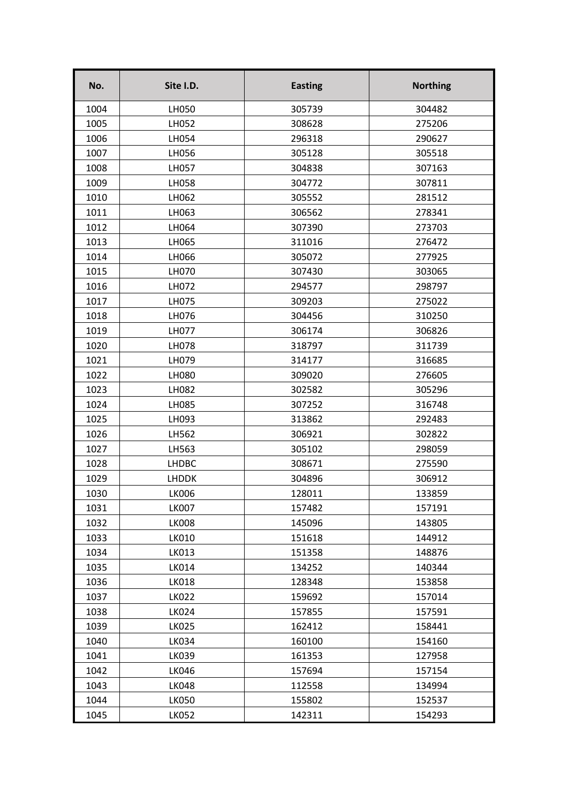| No.  | Site I.D.    | <b>Easting</b> | <b>Northing</b> |
|------|--------------|----------------|-----------------|
| 1004 | LH050        | 305739         | 304482          |
| 1005 | LH052        | 308628         | 275206          |
| 1006 | LH054        | 296318         | 290627          |
| 1007 | LH056        | 305128         | 305518          |
| 1008 | LH057        | 304838         | 307163          |
| 1009 | LH058        | 304772         | 307811          |
| 1010 | LH062        | 305552         | 281512          |
| 1011 | LH063        | 306562         | 278341          |
| 1012 | LH064        | 307390         | 273703          |
| 1013 | LH065        | 311016         | 276472          |
| 1014 | LH066        | 305072         | 277925          |
| 1015 | LH070        | 307430         | 303065          |
| 1016 | LH072        | 294577         | 298797          |
| 1017 | LH075        | 309203         | 275022          |
| 1018 | LH076        | 304456         | 310250          |
| 1019 | LH077        | 306174         | 306826          |
| 1020 | LH078        | 318797         | 311739          |
| 1021 | LH079        | 314177         | 316685          |
| 1022 | LH080        | 309020         | 276605          |
| 1023 | LH082        | 302582         | 305296          |
| 1024 | LH085        | 307252         | 316748          |
| 1025 | LH093        | 313862         | 292483          |
| 1026 | LH562        | 306921         | 302822          |
| 1027 | LH563        | 305102         | 298059          |
| 1028 | <b>LHDBC</b> | 308671         | 275590          |
| 1029 | <b>LHDDK</b> | 304896         | 306912          |
| 1030 | <b>LK006</b> | 128011         | 133859          |
| 1031 | <b>LK007</b> | 157482         | 157191          |
| 1032 | <b>LK008</b> | 145096         | 143805          |
| 1033 | LK010        | 151618         | 144912          |
| 1034 | LK013        | 151358         | 148876          |
| 1035 | LK014        | 134252         | 140344          |
| 1036 | LK018        | 128348         | 153858          |
| 1037 | LK022        | 159692         | 157014          |
| 1038 | <b>LK024</b> | 157855         | 157591          |
| 1039 | <b>LK025</b> | 162412         | 158441          |
| 1040 | <b>LK034</b> | 160100         | 154160          |
| 1041 | LK039        | 161353         | 127958          |
| 1042 | <b>LK046</b> | 157694         | 157154          |
| 1043 | <b>LK048</b> | 112558         | 134994          |
| 1044 | <b>LK050</b> | 155802         | 152537          |
| 1045 | <b>LK052</b> | 142311         | 154293          |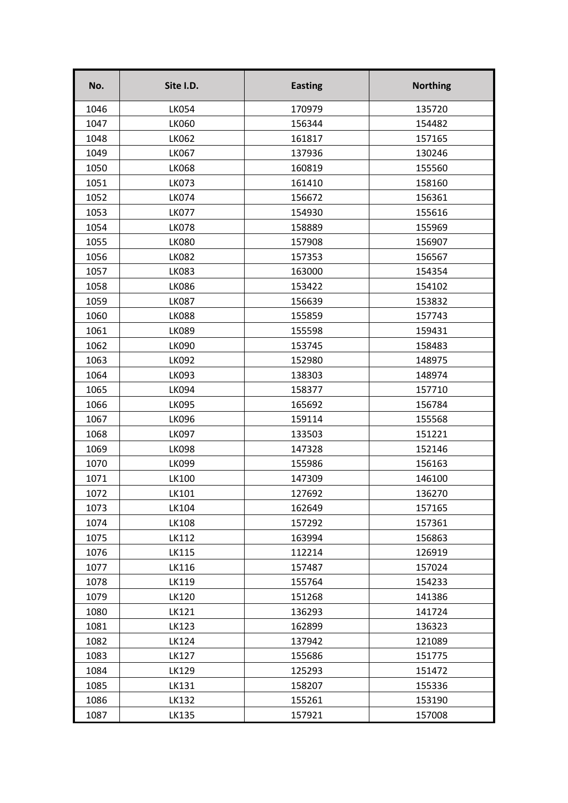| No.  | Site I.D.    | <b>Easting</b> | <b>Northing</b> |
|------|--------------|----------------|-----------------|
| 1046 | <b>LK054</b> | 170979         | 135720          |
| 1047 | <b>LK060</b> | 156344         | 154482          |
| 1048 | <b>LK062</b> | 161817         | 157165          |
| 1049 | <b>LK067</b> | 137936         | 130246          |
| 1050 | <b>LK068</b> | 160819         | 155560          |
| 1051 | <b>LK073</b> | 161410         | 158160          |
| 1052 | <b>LK074</b> | 156672         | 156361          |
| 1053 | <b>LK077</b> | 154930         | 155616          |
| 1054 | <b>LK078</b> | 158889         | 155969          |
| 1055 | <b>LK080</b> | 157908         | 156907          |
| 1056 | <b>LK082</b> | 157353         | 156567          |
| 1057 | <b>LK083</b> | 163000         | 154354          |
| 1058 | <b>LK086</b> | 153422         | 154102          |
| 1059 | <b>LK087</b> | 156639         | 153832          |
| 1060 | <b>LK088</b> | 155859         | 157743          |
| 1061 | <b>LK089</b> | 155598         | 159431          |
| 1062 | <b>LK090</b> | 153745         | 158483          |
| 1063 | LK092        | 152980         | 148975          |
| 1064 | LK093        | 138303         | 148974          |
| 1065 | <b>LK094</b> | 158377         | 157710          |
| 1066 | <b>LK095</b> | 165692         | 156784          |
| 1067 | <b>LK096</b> | 159114         | 155568          |
| 1068 | <b>LK097</b> | 133503         | 151221          |
| 1069 | <b>LK098</b> | 147328         | 152146          |
| 1070 | <b>LK099</b> | 155986         | 156163          |
| 1071 | LK100        | 147309         | 146100          |
| 1072 | LK101        | 127692         | 136270          |
| 1073 | LK104        | 162649         | 157165          |
| 1074 | LK108        | 157292         | 157361          |
| 1075 | LK112        | 163994         | 156863          |
| 1076 | LK115        | 112214         | 126919          |
| 1077 | LK116        | 157487         | 157024          |
| 1078 | LK119        | 155764         | 154233          |
| 1079 | LK120        | 151268         | 141386          |
| 1080 | LK121        | 136293         | 141724          |
| 1081 | LK123        | 162899         | 136323          |
| 1082 | LK124        | 137942         | 121089          |
| 1083 | LK127        | 155686         | 151775          |
| 1084 | LK129        | 125293         | 151472          |
| 1085 | LK131        | 158207         | 155336          |
| 1086 | LK132        | 155261         | 153190          |
| 1087 | LK135        | 157921         | 157008          |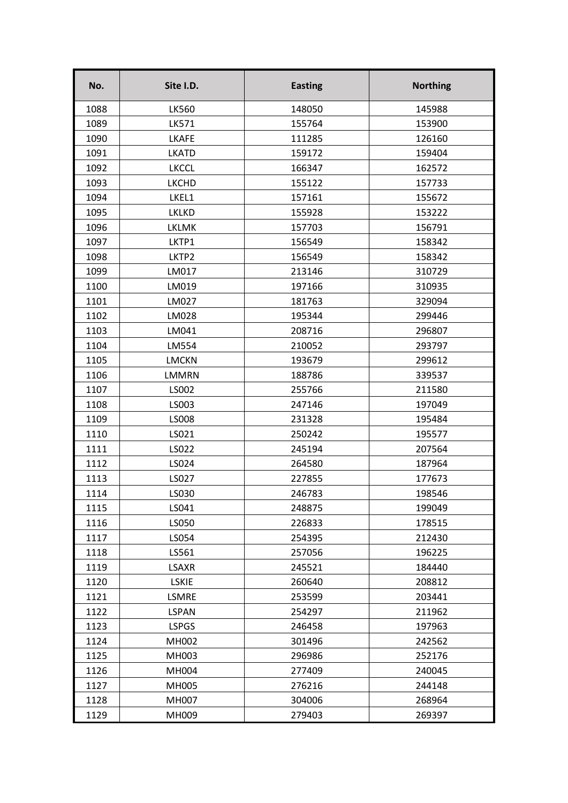| No.  | Site I.D.    | <b>Easting</b> | <b>Northing</b> |
|------|--------------|----------------|-----------------|
| 1088 | <b>LK560</b> | 148050         | 145988          |
| 1089 | <b>LK571</b> | 155764         | 153900          |
| 1090 | <b>LKAFE</b> | 111285         | 126160          |
| 1091 | <b>LKATD</b> | 159172         | 159404          |
| 1092 | <b>LKCCL</b> | 166347         | 162572          |
| 1093 | <b>LKCHD</b> | 155122         | 157733          |
| 1094 | LKEL1        | 157161         | 155672          |
| 1095 | <b>LKLKD</b> | 155928         | 153222          |
| 1096 | <b>LKLMK</b> | 157703         | 156791          |
| 1097 | LKTP1        | 156549         | 158342          |
| 1098 | LKTP2        | 156549         | 158342          |
| 1099 | LM017        | 213146         | 310729          |
| 1100 | LM019        | 197166         | 310935          |
| 1101 | LM027        | 181763         | 329094          |
| 1102 | LM028        | 195344         | 299446          |
| 1103 | LM041        | 208716         | 296807          |
| 1104 | LM554        | 210052         | 293797          |
| 1105 | <b>LMCKN</b> | 193679         | 299612          |
| 1106 | <b>LMMRN</b> | 188786         | 339537          |
| 1107 | LS002        | 255766         | 211580          |
| 1108 | LS003        | 247146         | 197049          |
| 1109 | <b>LS008</b> | 231328         | 195484          |
| 1110 | LS021        | 250242         | 195577          |
| 1111 | LS022        | 245194         | 207564          |
| 1112 | LS024        | 264580         | 187964          |
| 1113 | LS027        | 227855         | 177673          |
| 1114 | LS030        | 246783         | 198546          |
| 1115 | LS041        | 248875         | 199049          |
| 1116 | LS050        | 226833         | 178515          |
| 1117 | LS054        | 254395         | 212430          |
| 1118 | LS561        | 257056         | 196225          |
| 1119 | <b>LSAXR</b> | 245521         | 184440          |
| 1120 | <b>LSKIE</b> | 260640         | 208812          |
| 1121 | <b>LSMRE</b> | 253599         | 203441          |
| 1122 | <b>LSPAN</b> | 254297         | 211962          |
| 1123 | <b>LSPGS</b> | 246458         | 197963          |
| 1124 | MH002        | 301496         | 242562          |
| 1125 | MH003        | 296986         | 252176          |
| 1126 | MH004        | 277409         | 240045          |
| 1127 | MH005        | 276216         | 244148          |
| 1128 | MH007        | 304006         | 268964          |
| 1129 | MH009        | 279403         | 269397          |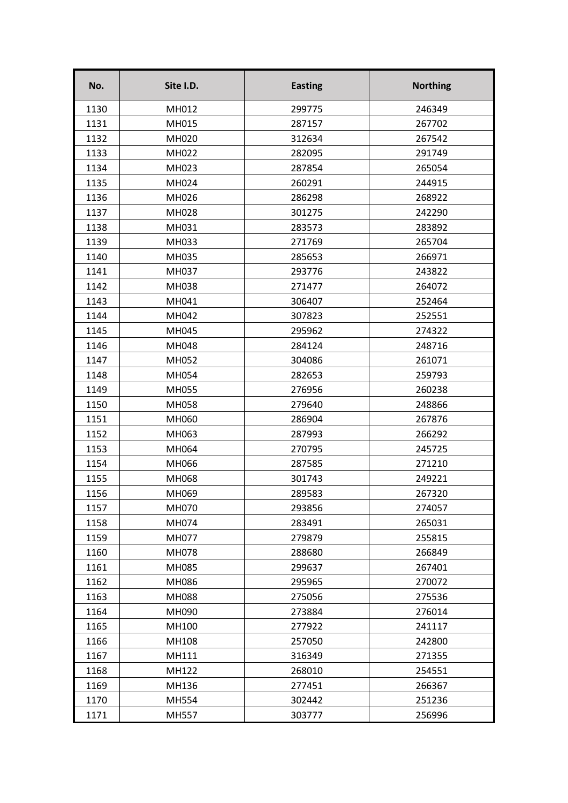| No.  | Site I.D.    | <b>Easting</b> | <b>Northing</b> |
|------|--------------|----------------|-----------------|
| 1130 | MH012        | 299775         | 246349          |
| 1131 | MH015        | 287157         | 267702          |
| 1132 | MH020        | 312634         | 267542          |
| 1133 | MH022        | 282095         | 291749          |
| 1134 | MH023        | 287854         | 265054          |
| 1135 | MH024        | 260291         | 244915          |
| 1136 | MH026        | 286298         | 268922          |
| 1137 | MH028        | 301275         | 242290          |
| 1138 | MH031        | 283573         | 283892          |
| 1139 | MH033        | 271769         | 265704          |
| 1140 | MH035        | 285653         | 266971          |
| 1141 | MH037        | 293776         | 243822          |
| 1142 | MH038        | 271477         | 264072          |
| 1143 | MH041        | 306407         | 252464          |
| 1144 | MH042        | 307823         | 252551          |
| 1145 | MH045        | 295962         | 274322          |
| 1146 | MH048        | 284124         | 248716          |
| 1147 | MH052        | 304086         | 261071          |
| 1148 | MH054        | 282653         | 259793          |
| 1149 | MH055        | 276956         | 260238          |
| 1150 | MH058        | 279640         | 248866          |
| 1151 | MH060        | 286904         | 267876          |
| 1152 | MH063        | 287993         | 266292          |
| 1153 | MH064        | 270795         | 245725          |
| 1154 | MH066        | 287585         | 271210          |
| 1155 | MH068        | 301743         | 249221          |
| 1156 | MH069        | 289583         | 267320          |
| 1157 | MH070        | 293856         | 274057          |
| 1158 | MH074        | 283491         | 265031          |
| 1159 | <b>MH077</b> | 279879         | 255815          |
| 1160 | MH078        | 288680         | 266849          |
| 1161 | MH085        | 299637         | 267401          |
| 1162 | MH086        | 295965         | 270072          |
| 1163 | MH088        | 275056         | 275536          |
| 1164 | MH090        | 273884         | 276014          |
| 1165 | MH100        | 277922         | 241117          |
| 1166 | MH108        | 257050         | 242800          |
| 1167 | MH111        | 316349         | 271355          |
| 1168 | MH122        | 268010         | 254551          |
| 1169 | MH136        | 277451         | 266367          |
| 1170 | MH554        | 302442         | 251236          |
| 1171 | <b>MH557</b> | 303777         | 256996          |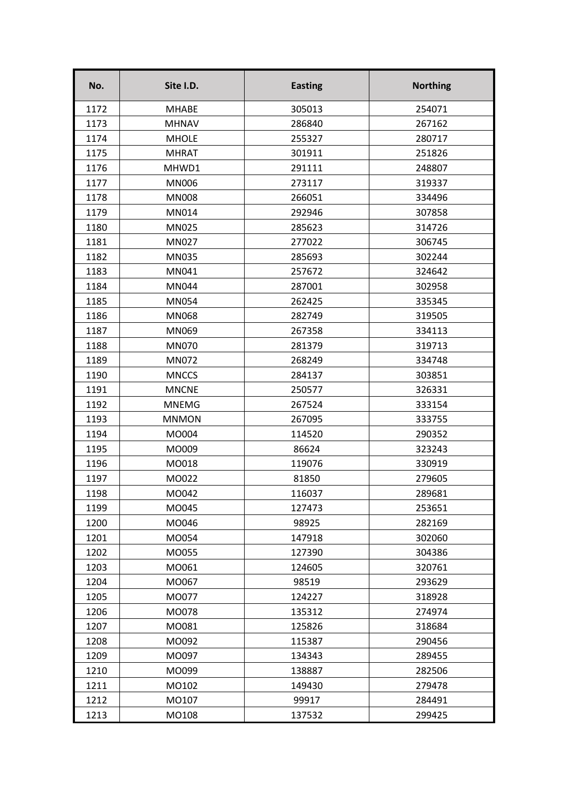| No.  | Site I.D.    | <b>Easting</b> | <b>Northing</b> |
|------|--------------|----------------|-----------------|
| 1172 | <b>MHABE</b> | 305013         | 254071          |
| 1173 | <b>MHNAV</b> | 286840         | 267162          |
| 1174 | <b>MHOLE</b> | 255327         | 280717          |
| 1175 | <b>MHRAT</b> | 301911         | 251826          |
| 1176 | MHWD1        | 291111         | 248807          |
| 1177 | <b>MN006</b> | 273117         | 319337          |
| 1178 | <b>MN008</b> | 266051         | 334496          |
| 1179 | MN014        | 292946         | 307858          |
| 1180 | MN025        | 285623         | 314726          |
| 1181 | MN027        | 277022         | 306745          |
| 1182 | MN035        | 285693         | 302244          |
| 1183 | MN041        | 257672         | 324642          |
| 1184 | <b>MN044</b> | 287001         | 302958          |
| 1185 | <b>MN054</b> | 262425         | 335345          |
| 1186 | <b>MN068</b> | 282749         | 319505          |
| 1187 | MN069        | 267358         | 334113          |
| 1188 | <b>MN070</b> | 281379         | 319713          |
| 1189 | MN072        | 268249         | 334748          |
| 1190 | <b>MNCCS</b> | 284137         | 303851          |
| 1191 | <b>MNCNE</b> | 250577         | 326331          |
| 1192 | <b>MNEMG</b> | 267524         | 333154          |
| 1193 | <b>MNMON</b> | 267095         | 333755          |
| 1194 | MO004        | 114520         | 290352          |
| 1195 | MO009        | 86624          | 323243          |
| 1196 | MO018        | 119076         | 330919          |
| 1197 | MO022        | 81850          | 279605          |
| 1198 | MO042        | 116037         | 289681          |
| 1199 | MO045        | 127473         | 253651          |
| 1200 | MO046        | 98925          | 282169          |
| 1201 | MO054        | 147918         | 302060          |
| 1202 | MO055        | 127390         | 304386          |
| 1203 | MO061        | 124605         | 320761          |
| 1204 | MO067        | 98519          | 293629          |
| 1205 | MO077        | 124227         | 318928          |
| 1206 | MO078        | 135312         | 274974          |
| 1207 | M0081        | 125826         | 318684          |
| 1208 | MO092        | 115387         | 290456          |
| 1209 | MO097        | 134343         | 289455          |
| 1210 | MO099        | 138887         | 282506          |
| 1211 | MO102        | 149430         | 279478          |
| 1212 | MO107        | 99917          | 284491          |
| 1213 | MO108        | 137532         | 299425          |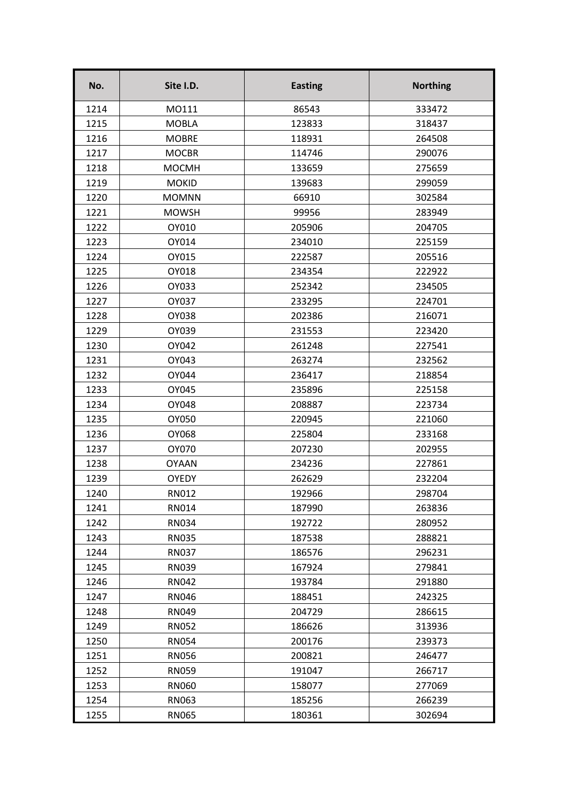| No.  | Site I.D.    | <b>Easting</b> | <b>Northing</b> |
|------|--------------|----------------|-----------------|
| 1214 | M0111        | 86543          | 333472          |
| 1215 | <b>MOBLA</b> | 123833         | 318437          |
| 1216 | <b>MOBRE</b> | 118931         | 264508          |
| 1217 | <b>MOCBR</b> | 114746         | 290076          |
| 1218 | <b>MOCMH</b> | 133659         | 275659          |
| 1219 | <b>MOKID</b> | 139683         | 299059          |
| 1220 | <b>MOMNN</b> | 66910          | 302584          |
| 1221 | <b>MOWSH</b> | 99956          | 283949          |
| 1222 | OY010        | 205906         | 204705          |
| 1223 | OY014        | 234010         | 225159          |
| 1224 | OY015        | 222587         | 205516          |
| 1225 | OY018        | 234354         | 222922          |
| 1226 | OY033        | 252342         | 234505          |
| 1227 | OY037        | 233295         | 224701          |
| 1228 | OY038        | 202386         | 216071          |
| 1229 | OY039        | 231553         | 223420          |
| 1230 | OY042        | 261248         | 227541          |
| 1231 | OY043        | 263274         | 232562          |
| 1232 | OY044        | 236417         | 218854          |
| 1233 | OY045        | 235896         | 225158          |
| 1234 | OY048        | 208887         | 223734          |
| 1235 | OY050        | 220945         | 221060          |
| 1236 | OY068        | 225804         | 233168          |
| 1237 | OY070        | 207230         | 202955          |
| 1238 | <b>OYAAN</b> | 234236         | 227861          |
| 1239 | <b>OYEDY</b> | 262629         | 232204          |
| 1240 | RN012        | 192966         | 298704          |
| 1241 | RN014        | 187990         | 263836          |
| 1242 | <b>RN034</b> | 192722         | 280952          |
| 1243 | <b>RN035</b> | 187538         | 288821          |
| 1244 | <b>RN037</b> | 186576         | 296231          |
| 1245 | <b>RN039</b> | 167924         | 279841          |
| 1246 | <b>RN042</b> | 193784         | 291880          |
| 1247 | <b>RN046</b> | 188451         | 242325          |
| 1248 | <b>RN049</b> | 204729         | 286615          |
| 1249 | <b>RN052</b> | 186626         | 313936          |
| 1250 | <b>RN054</b> | 200176         | 239373          |
| 1251 | <b>RN056</b> | 200821         | 246477          |
| 1252 | <b>RN059</b> | 191047         | 266717          |
| 1253 | <b>RN060</b> | 158077         | 277069          |
| 1254 | RN063        | 185256         | 266239          |
| 1255 | <b>RN065</b> | 180361         | 302694          |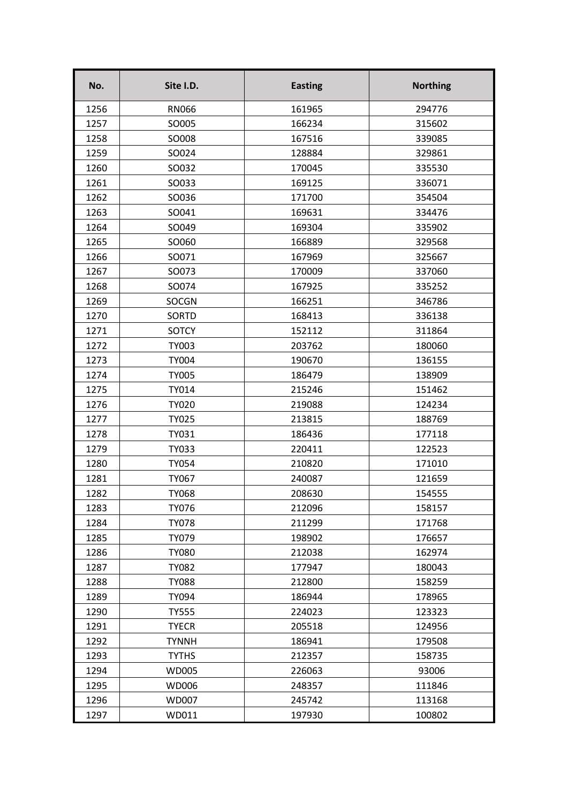| No.  | Site I.D.    | <b>Easting</b> | <b>Northing</b> |
|------|--------------|----------------|-----------------|
| 1256 | <b>RN066</b> | 161965         | 294776          |
| 1257 | SO005        | 166234         | 315602          |
| 1258 | SO008        | 167516         | 339085          |
| 1259 | SO024        | 128884         | 329861          |
| 1260 | SO032        | 170045         | 335530          |
| 1261 | SO033        | 169125         | 336071          |
| 1262 | SO036        | 171700         | 354504          |
| 1263 | SO041        | 169631         | 334476          |
| 1264 | SO049        | 169304         | 335902          |
| 1265 | SO060        | 166889         | 329568          |
| 1266 | SO071        | 167969         | 325667          |
| 1267 | SO073        | 170009         | 337060          |
| 1268 | SO074        | 167925         | 335252          |
| 1269 | <b>SOCGN</b> | 166251         | 346786          |
| 1270 | <b>SORTD</b> | 168413         | 336138          |
| 1271 | <b>SOTCY</b> | 152112         | 311864          |
| 1272 | <b>TY003</b> | 203762         | 180060          |
| 1273 | <b>TY004</b> | 190670         | 136155          |
| 1274 | <b>TY005</b> | 186479         | 138909          |
| 1275 | TY014        | 215246         | 151462          |
| 1276 | <b>TY020</b> | 219088         | 124234          |
| 1277 | <b>TY025</b> | 213815         | 188769          |
| 1278 | TY031        | 186436         | 177118          |
| 1279 | TY033        | 220411         | 122523          |
| 1280 | <b>TY054</b> | 210820         | 171010          |
| 1281 | TY067        | 240087         | 121659          |
| 1282 | <b>TY068</b> | 208630         | 154555          |
| 1283 | TY076        | 212096         | 158157          |
| 1284 | <b>TY078</b> | 211299         | 171768          |
| 1285 | TY079        | 198902         | 176657          |
| 1286 | <b>TY080</b> | 212038         | 162974          |
| 1287 | <b>TY082</b> | 177947         | 180043          |
| 1288 | <b>TY088</b> | 212800         | 158259          |
| 1289 | TY094        | 186944         | 178965          |
| 1290 | <b>TY555</b> | 224023         | 123323          |
| 1291 | <b>TYECR</b> | 205518         | 124956          |
| 1292 | <b>TYNNH</b> | 186941         | 179508          |
| 1293 | <b>TYTHS</b> | 212357         | 158735          |
| 1294 | <b>WD005</b> | 226063         | 93006           |
| 1295 | WD006        | 248357         | 111846          |
| 1296 | WD007        | 245742         | 113168          |
| 1297 | WD011        | 197930         | 100802          |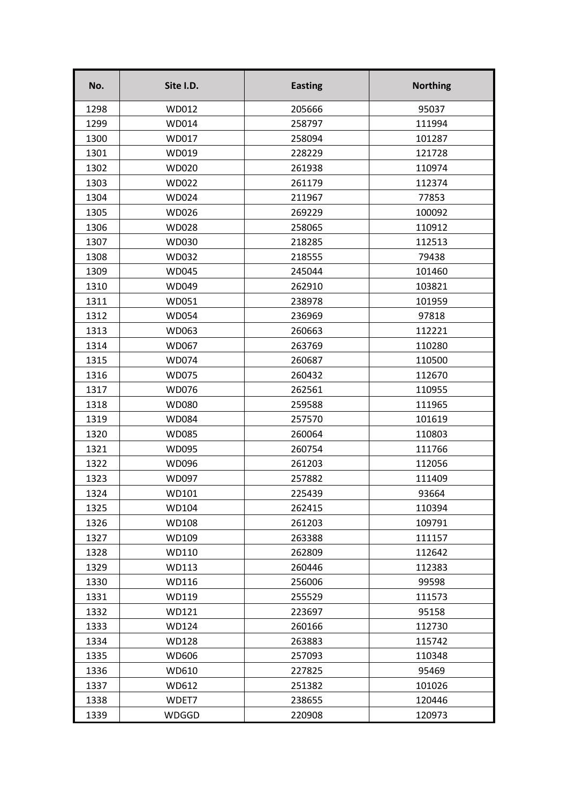| No.  | Site I.D.    | <b>Easting</b> | <b>Northing</b> |
|------|--------------|----------------|-----------------|
| 1298 | WD012        | 205666         | 95037           |
| 1299 | WD014        | 258797         | 111994          |
| 1300 | WD017        | 258094         | 101287          |
| 1301 | WD019        | 228229         | 121728          |
| 1302 | WD020        | 261938         | 110974          |
| 1303 | WD022        | 261179         | 112374          |
| 1304 | WD024        | 211967         | 77853           |
| 1305 | WD026        | 269229         | 100092          |
| 1306 | WD028        | 258065         | 110912          |
| 1307 | WD030        | 218285         | 112513          |
| 1308 | WD032        | 218555         | 79438           |
| 1309 | <b>WD045</b> | 245044         | 101460          |
| 1310 | WD049        | 262910         | 103821          |
| 1311 | WD051        | 238978         | 101959          |
| 1312 | <b>WD054</b> | 236969         | 97818           |
| 1313 | WD063        | 260663         | 112221          |
| 1314 | WD067        | 263769         | 110280          |
| 1315 | WD074        | 260687         | 110500          |
| 1316 | <b>WD075</b> | 260432         | 112670          |
| 1317 | WD076        | 262561         | 110955          |
| 1318 | WD080        | 259588         | 111965          |
| 1319 | <b>WD084</b> | 257570         | 101619          |
| 1320 | WD085        | 260064         | 110803          |
| 1321 | <b>WD095</b> | 260754         | 111766          |
| 1322 | WD096        | 261203         | 112056          |
| 1323 | WD097        | 257882         | 111409          |
| 1324 | WD101        | 225439         | 93664           |
| 1325 | WD104        | 262415         | 110394          |
| 1326 | WD108        | 261203         | 109791          |
| 1327 | WD109        | 263388         | 111157          |
| 1328 | WD110        | 262809         | 112642          |
| 1329 | WD113        | 260446         | 112383          |
| 1330 | WD116        | 256006         | 99598           |
| 1331 | WD119        | 255529         | 111573          |
| 1332 | WD121        | 223697         | 95158           |
| 1333 | WD124        | 260166         | 112730          |
| 1334 | WD128        | 263883         | 115742          |
| 1335 | WD606        | 257093         | 110348          |
| 1336 | WD610        | 227825         | 95469           |
| 1337 | WD612        | 251382         | 101026          |
| 1338 | WDET7        | 238655         | 120446          |
| 1339 | WDGGD        | 220908         | 120973          |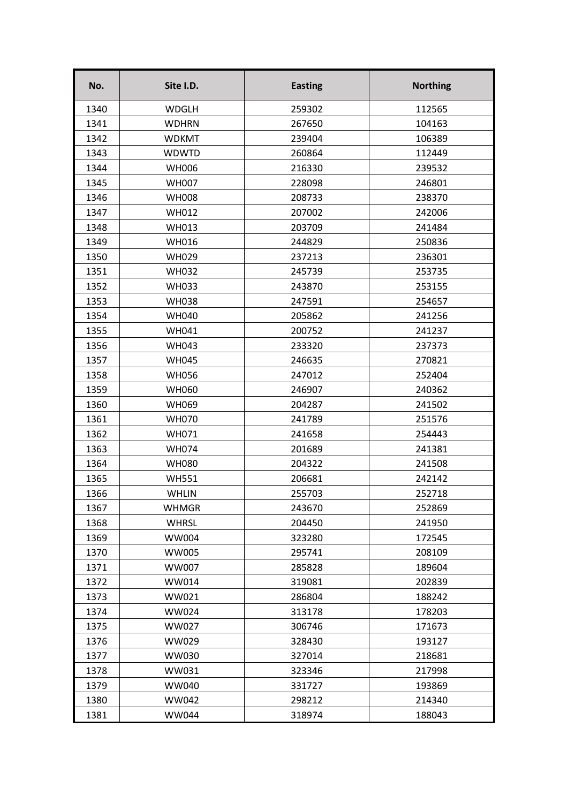| No.  | Site I.D.    | <b>Easting</b> | <b>Northing</b> |
|------|--------------|----------------|-----------------|
| 1340 | <b>WDGLH</b> | 259302         | 112565          |
| 1341 | <b>WDHRN</b> | 267650         | 104163          |
| 1342 | <b>WDKMT</b> | 239404         | 106389          |
| 1343 | <b>WDWTD</b> | 260864         | 112449          |
| 1344 | <b>WH006</b> | 216330         | 239532          |
| 1345 | <b>WH007</b> | 228098         | 246801          |
| 1346 | <b>WH008</b> | 208733         | 238370          |
| 1347 | <b>WH012</b> | 207002         | 242006          |
| 1348 | WH013        | 203709         | 241484          |
| 1349 | <b>WH016</b> | 244829         | 250836          |
| 1350 | <b>WH029</b> | 237213         | 236301          |
| 1351 | <b>WH032</b> | 245739         | 253735          |
| 1352 | <b>WH033</b> | 243870         | 253155          |
| 1353 | <b>WH038</b> | 247591         | 254657          |
| 1354 | <b>WH040</b> | 205862         | 241256          |
| 1355 | WH041        | 200752         | 241237          |
| 1356 | <b>WH043</b> | 233320         | 237373          |
| 1357 | <b>WH045</b> | 246635         | 270821          |
| 1358 | <b>WH056</b> | 247012         | 252404          |
| 1359 | <b>WH060</b> | 246907         | 240362          |
| 1360 | <b>WH069</b> | 204287         | 241502          |
| 1361 | <b>WH070</b> | 241789         | 251576          |
| 1362 | WH071        | 241658         | 254443          |
| 1363 | <b>WH074</b> | 201689         | 241381          |
| 1364 | <b>WH080</b> | 204322         | 241508          |
| 1365 | <b>WH551</b> | 206681         | 242142          |
| 1366 | <b>WHLIN</b> | 255703         | 252718          |
| 1367 | <b>WHMGR</b> | 243670         | 252869          |
| 1368 | <b>WHRSL</b> | 204450         | 241950          |
| 1369 | <b>WW004</b> | 323280         | 172545          |
| 1370 | <b>WW005</b> | 295741         | 208109          |
| 1371 | <b>WW007</b> | 285828         | 189604          |
| 1372 | WW014        | 319081         | 202839          |
| 1373 | WW021        | 286804         | 188242          |
| 1374 | <b>WW024</b> | 313178         | 178203          |
| 1375 | WW027        | 306746         | 171673          |
| 1376 | WW029        | 328430         | 193127          |
| 1377 | <b>WW030</b> | 327014         | 218681          |
| 1378 | WW031        | 323346         | 217998          |
| 1379 | <b>WW040</b> | 331727         | 193869          |
| 1380 | <b>WW042</b> | 298212         | 214340          |
| 1381 | <b>WW044</b> | 318974         | 188043          |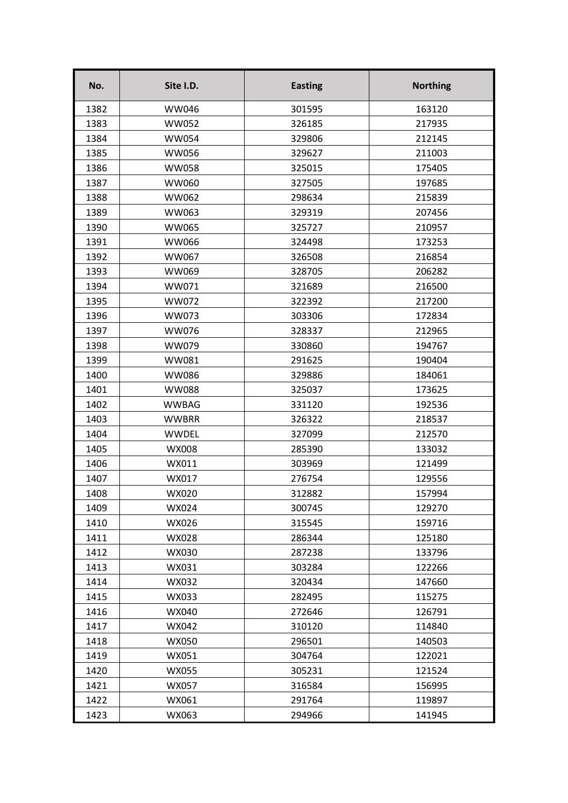| No.  | Site I.D.    | <b>Easting</b> | <b>Northing</b> |
|------|--------------|----------------|-----------------|
| 1382 | <b>WW046</b> | 301595         | 163120          |
| 1383 | <b>WW052</b> | 326185         | 217935          |
| 1384 | <b>WW054</b> | 329806         | 212145          |
| 1385 | <b>WW056</b> | 329627         | 211003          |
| 1386 | <b>WW058</b> | 325015         | 175405          |
| 1387 | <b>WW060</b> | 327505         | 197685          |
| 1388 | <b>WW062</b> | 298634         | 215839          |
| 1389 | <b>WW063</b> | 329319         | 207456          |
| 1390 | <b>WW065</b> | 325727         | 210957          |
| 1391 | <b>WW066</b> | 324498         | 173253          |
| 1392 | WW067        | 326508         | 216854          |
| 1393 | <b>WW069</b> | 328705         | 206282          |
| 1394 | WW071        | 321689         | 216500          |
| 1395 | WW072        | 322392         | 217200          |
| 1396 | WW073        | 303306         | 172834          |
| 1397 | <b>WW076</b> | 328337         | 212965          |
| 1398 | WW079        | 330860         | 194767          |
| 1399 | WW081        | 291625         | 190404          |
| 1400 | <b>WW086</b> | 329886         | 184061          |
| 1401 | <b>WW088</b> | 325037         | 173625          |
| 1402 | <b>WWBAG</b> | 331120         | 192536          |
| 1403 | <b>WWBRR</b> | 326322         | 218537          |
| 1404 | <b>WWDEL</b> | 327099         | 212570          |
| 1405 | WX008        | 285390         | 133032          |
| 1406 | WX011        | 303969         | 121499          |
| 1407 | WX017        | 276754         | 129556          |
| 1408 | WX020        | 312882         | 157994          |
| 1409 | WX024        | 300745         | 129270          |
| 1410 | WX026        | 315545         | 159716          |
| 1411 | WX028        | 286344         | 125180          |
| 1412 | WX030        | 287238         | 133796          |
| 1413 | WX031        | 303284         | 122266          |
| 1414 | WX032        | 320434         | 147660          |
| 1415 | WX033        | 282495         | 115275          |
| 1416 | WX040        | 272646         | 126791          |
| 1417 | WX042        | 310120         | 114840          |
| 1418 | WX050        | 296501         | 140503          |
| 1419 | WX051        | 304764         | 122021          |
| 1420 | WX055        | 305231         | 121524          |
| 1421 | WX057        | 316584         | 156995          |
| 1422 | WX061        | 291764         | 119897          |
| 1423 | WX063        | 294966         | 141945          |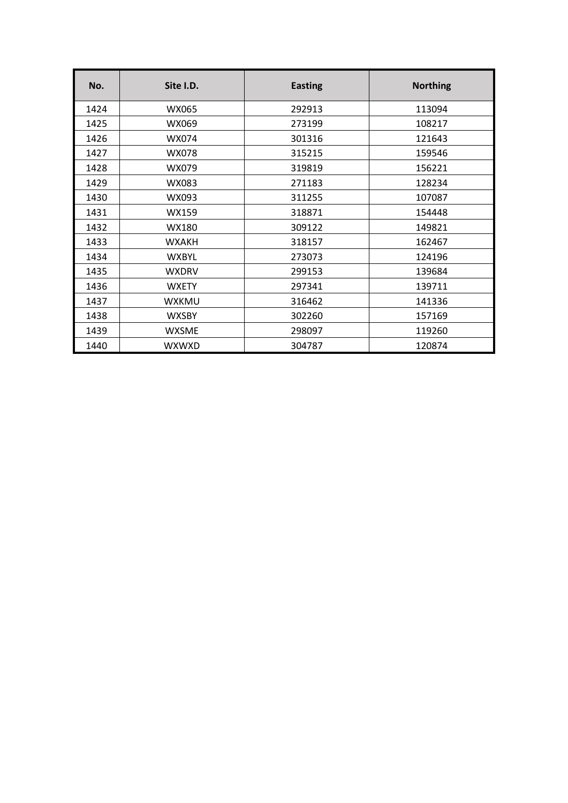| No.  | Site I.D.    | <b>Easting</b> | <b>Northing</b> |
|------|--------------|----------------|-----------------|
| 1424 | WX065        | 292913         | 113094          |
| 1425 | WX069        | 273199         | 108217          |
| 1426 | WX074        | 301316         | 121643          |
| 1427 | <b>WX078</b> | 315215         | 159546          |
| 1428 | WX079        | 319819         | 156221          |
| 1429 | WX083        | 271183         | 128234          |
| 1430 | WX093        | 311255         | 107087          |
| 1431 | WX159        | 318871         | 154448          |
| 1432 | WX180        | 309122         | 149821          |
| 1433 | <b>WXAKH</b> | 318157         | 162467          |
| 1434 | <b>WXBYL</b> | 273073         | 124196          |
| 1435 | <b>WXDRV</b> | 299153         | 139684          |
| 1436 | <b>WXETY</b> | 297341         | 139711          |
| 1437 | <b>WXKMU</b> | 316462         | 141336          |
| 1438 | <b>WXSBY</b> | 302260         | 157169          |
| 1439 | <b>WXSME</b> | 298097         | 119260          |
| 1440 | <b>WXWXD</b> | 304787         | 120874          |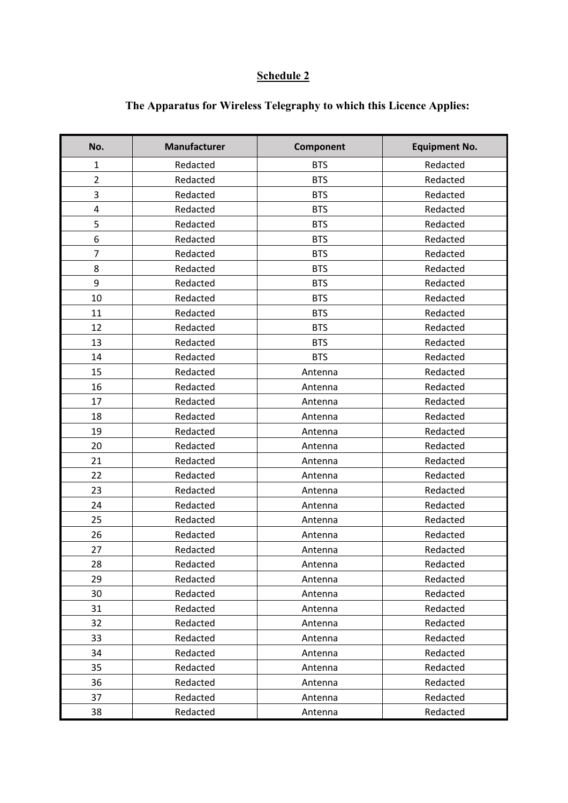## **Schedule 2**

| No.            | <b>Manufacturer</b> | Component  | <b>Equipment No.</b> |
|----------------|---------------------|------------|----------------------|
| $\mathbf 1$    | Redacted            | <b>BTS</b> | Redacted             |
| $\overline{2}$ | Redacted            | <b>BTS</b> | Redacted             |
| 3              | Redacted            | <b>BTS</b> | Redacted             |
| 4              | Redacted            | <b>BTS</b> | Redacted             |
| 5              | Redacted            | <b>BTS</b> | Redacted             |
| 6              | Redacted            | <b>BTS</b> | Redacted             |
| 7              | Redacted            | <b>BTS</b> | Redacted             |
| 8              | Redacted            | <b>BTS</b> | Redacted             |
| 9              | Redacted            | <b>BTS</b> | Redacted             |
| 10             | Redacted            | <b>BTS</b> | Redacted             |
| 11             | Redacted            | <b>BTS</b> | Redacted             |
| 12             | Redacted            | <b>BTS</b> | Redacted             |
| 13             | Redacted            | <b>BTS</b> | Redacted             |
| 14             | Redacted            | <b>BTS</b> | Redacted             |
| 15             | Redacted            | Antenna    | Redacted             |
| 16             | Redacted            | Antenna    | Redacted             |
| 17             | Redacted            | Antenna    | Redacted             |
| 18             | Redacted            | Antenna    | Redacted             |
| 19             | Redacted            | Antenna    | Redacted             |
| 20             | Redacted            | Antenna    | Redacted             |
| 21             | Redacted            | Antenna    | Redacted             |
| 22             | Redacted            | Antenna    | Redacted             |
| 23             | Redacted            | Antenna    | Redacted             |
| 24             | Redacted            | Antenna    | Redacted             |
| 25             | Redacted            | Antenna    | Redacted             |
| 26             | Redacted            | Antenna    | Redacted             |
| 27             | Redacted            | Antenna    | Redacted             |
| 28             | Redacted            | Antenna    | Redacted             |
| 29             | Redacted            | Antenna    | Redacted             |
| 30             | Redacted            | Antenna    | Redacted             |
| 31             | Redacted            | Antenna    | Redacted             |
| 32             | Redacted            | Antenna    | Redacted             |
| 33             | Redacted            | Antenna    | Redacted             |
| 34             | Redacted            | Antenna    | Redacted             |
| 35             | Redacted            | Antenna    | Redacted             |
| 36             | Redacted            | Antenna    | Redacted             |
| 37             | Redacted            | Antenna    | Redacted             |
| 38             | Redacted            | Antenna    | Redacted             |

# **The Apparatus for Wireless Telegraphy to which this Licence Applies:**